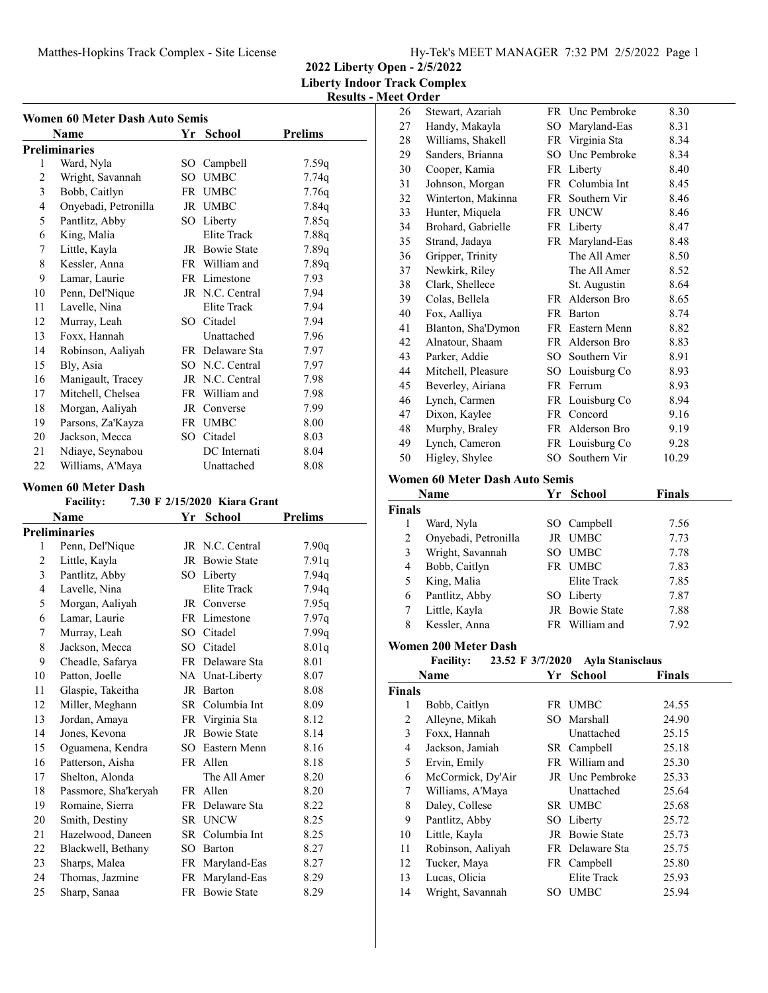# Matthes-Hopkins Track Complex - Site License Hy-Tek's MEET MANAGER 7:32 PM 2/5/2022 Page 1

**2022 Liberty Open - 2/5/2022 Liberty Indoor Track Complex**

| <b>Results - Meet Order</b> |  |
|-----------------------------|--|

|    | Women 60 Meter Dash Auto Semis |              |                                           |                |
|----|--------------------------------|--------------|-------------------------------------------|----------------|
|    | Name                           |              | Yr School                                 | <b>Prelims</b> |
|    | <b>Preliminaries</b>           |              |                                           |                |
| 1  | Ward, Nyla                     | SO           | Campbell                                  | 7.59q          |
| 2  | Wright, Savannah               | SO.          | <b>UMBC</b>                               | 7.74q          |
| 3  | Bobb, Caitlyn                  |              | FR UMBC                                   | 7.76q          |
| 4  | Onyebadi, Petronilla           |              | JR UMBC                                   | 7.84q          |
| 5  | Pantlitz, Abby                 |              | SO Liberty                                | 7.85q          |
| 6  | King, Malia                    |              | <b>Elite Track</b>                        | 7.88q          |
| 7  | Little, Kayla                  |              | JR Bowie State                            | 7.89q          |
| 8  | Kessler, Anna                  |              | FR William and                            | 7.89q          |
| 9  | Lamar, Laurie                  |              | FR Limestone                              | 7.93           |
| 10 | Penn, Del'Nique                |              | JR N.C. Central                           | 7.94           |
| 11 | Lavelle, Nina                  |              | Elite Track                               | 7.94           |
| 12 | Murray, Leah                   | $SO^-$       | Citadel                                   | 7.94           |
| 13 | Foxx, Hannah                   |              | Unattached                                | 7.96           |
| 14 | Robinson, Aaliyah              |              | FR Delaware Sta                           | 7.97           |
| 15 | Bly, Asia                      |              | SO N.C. Central                           | 7.97           |
| 16 | Manigault, Tracey              |              | JR N.C. Central                           | 7.98           |
| 17 | Mitchell, Chelsea              |              | FR William and                            | 7.98           |
| 18 | Morgan, Aaliyah                |              | JR Converse                               | 7.99           |
| 19 | Parsons, Za'Kayza              |              | FR UMBC                                   | 8.00           |
| 20 | Jackson, Mecca                 |              | SO Citadel                                | 8.03           |
| 21 | Ndiaye, Seynabou               |              | DC Internati                              | 8.04           |
| 22 | Williams, A'Maya               |              | Unattached                                | 8.08           |
|    | <b>Women 60 Meter Dash</b>     |              |                                           |                |
|    | <b>Facility:</b>               |              | 7.30 F 2/15/2020 Kiara Grant              |                |
|    | Name                           | Yr           | <b>School</b>                             | <b>Prelims</b> |
|    | <b>Preliminaries</b>           |              |                                           |                |
|    | 10.7                           | $\mathbf{m}$ | $\mathbf{M} \cap \mathbf{M}$ $\mathbf{I}$ | $\sqrt{2}$     |

|    | Preliminaries        |     |                    |       |
|----|----------------------|-----|--------------------|-------|
| 1  | Penn, Del'Nique      |     | JR N.C. Central    | 7.90q |
| 2  | Little, Kayla        |     | JR Bowie State     | 7.91q |
| 3  | Pantlitz, Abby       |     | SO Liberty         | 7.94q |
| 4  | Lavelle, Nina        |     | <b>Elite Track</b> | 7.94q |
| 5  | Morgan, Aaliyah      |     | JR Converse        | 7.95q |
| 6  | Lamar, Laurie        |     | FR Limestone       | 7.97q |
| 7  | Murray, Leah         |     | SO Citadel         | 7.99q |
| 8  | Jackson, Mecca       |     | SO Citadel         | 8.01q |
| 9  | Cheadle, Safarya     |     | FR Delaware Sta    | 8.01  |
| 10 | Patton, Joelle       |     | NA Unat-Liberty    | 8.07  |
| 11 | Glaspie, Takeitha    | JR  | Barton             | 8.08  |
| 12 | Miller, Meghann      | SR  | Columbia Int       | 8.09  |
| 13 | Jordan, Amaya        |     | FR Virginia Sta    | 8.12  |
| 14 | Jones, Kevona        |     | JR Bowie State     | 8.14  |
| 15 | Oguamena, Kendra     |     | SO Eastern Menn    | 8.16  |
| 16 | Patterson, Aisha     |     | FR Allen           | 8.18  |
| 17 | Shelton, Alonda      |     | The All Amer       | 8.20  |
| 18 | Passmore, Sha'keryah | FR  | Allen              | 8.20  |
| 19 | Romaine, Sierra      | FR  | Delaware Sta       | 8.22  |
| 20 | Smith, Destiny       |     | SR UNCW            | 8.25  |
| 21 | Hazelwood, Daneen    |     | SR Columbia Int    | 8.25  |
| 22 | Blackwell, Bethany   | SO. | Barton             | 8.27  |
| 23 | Sharps, Malea        |     | FR Maryland-Eas    | 8.27  |
| 24 | Thomas, Jazmine      |     | FR Maryland-Eas    | 8.29  |
| 25 | Sharp, Sanaa         |     | FR Bowie State     | 8.29  |
|    |                      |     |                    |       |

|                | cet Oruer                                   |     |                                    |               |
|----------------|---------------------------------------------|-----|------------------------------------|---------------|
| 26             | Stewart, Azariah                            |     | FR Unc Pembroke                    | 8.30          |
| 27             | Handy, Makayla                              |     | SO Maryland-Eas                    | 8.31          |
| 28             | Williams, Shakell                           |     | FR Virginia Sta                    | 8.34          |
| 29             | Sanders, Brianna                            |     | SO Unc Pembroke                    | 8.34          |
| 30             | Cooper, Kamia                               |     | FR Liberty                         | 8.40          |
| 31             | Johnson, Morgan                             |     | FR Columbia Int                    | 8.45          |
| 32             | Winterton, Makinna                          | FR  | Southern Vir                       | 8.46          |
| 33             | Hunter, Miquela                             |     | FR UNCW                            | 8.46          |
| 34             | Brohard, Gabrielle                          |     | FR Liberty                         | 8.47          |
| 35             | Strand, Jadaya                              |     | FR Maryland-Eas                    | 8.48          |
| 36             | Gripper, Trinity                            |     | The All Amer                       | 8.50          |
| 37             | Newkirk, Riley                              |     | The All Amer                       | 8.52          |
| 38             | Clark, Shellece                             |     | St. Augustin                       | 8.64          |
| 39             | Colas, Bellela                              |     | FR Alderson Bro                    | 8.65          |
| 40             | Fox, Aalliya                                |     | FR Barton                          | 8.74          |
| 41             | Blanton, Sha'Dymon                          |     | FR Eastern Menn                    | 8.82          |
| 42             | Alnatour, Shaam                             |     | FR Alderson Bro                    | 8.83          |
| 43             | Parker, Addie                               |     | SO Southern Vir                    | 8.91          |
| 44             | Mitchell, Pleasure                          |     | SO Louisburg Co                    | 8.93          |
| 45             | Beverley, Airiana                           |     | FR Ferrum                          | 8.93          |
| 46             | Lynch, Carmen                               |     | FR Louisburg Co                    | 8.94          |
| 47             | Dixon, Kaylee                               |     | FR Concord                         | 9.16          |
| 48             |                                             |     | FR Alderson Bro                    |               |
|                | Murphy, Braley                              |     |                                    | 9.19          |
| 49             | Lynch, Cameron                              |     | FR Louisburg Co<br>SO Southern Vir | 9.28          |
| 50             | Higley, Shylee                              |     |                                    | 10.29         |
|                | <b>Women 60 Meter Dash Auto Semis</b>       |     |                                    |               |
|                | Name                                        |     | Yr School                          | <b>Finals</b> |
|                |                                             |     |                                    |               |
| <b>Finals</b>  |                                             |     |                                    |               |
| 1              | Ward, Nyla                                  |     | SO Campbell                        | 7.56          |
| 2              | Onyebadi, Petronilla                        |     | JR UMBC                            | 7.73          |
| 3              | Wright, Savannah                            |     | SO UMBC                            | 7.78          |
| $\overline{4}$ | Bobb, Caitlyn                               |     | FR UMBC                            | 7.83          |
| 5              | King, Malia                                 |     | Elite Track                        | 7.85          |
| 6              |                                             |     | SO Liberty                         | 7.87          |
| 7              | Pantlitz, Abby                              |     | JR Bowie State                     | 7.88          |
| 8              | Little, Kayla<br>Kessler, Anna              |     | FR William and                     | 7.92          |
|                |                                             |     |                                    |               |
|                | <b>Women 200 Meter Dash</b>                 |     |                                    |               |
|                | Facility: 23.52 F 3/7/2020 Ayla Stanisclaus |     |                                    |               |
|                | Name                                        |     | Yr School                          | <b>Finals</b> |
| <b>Finals</b>  |                                             |     |                                    |               |
| 1              | Bobb, Caitlyn                               |     | FR UMBC                            | 24.55         |
| $\overline{c}$ | Alleyne, Mikah                              | SO. | Marshall                           | 24.90         |
| 3              | Foxx, Hannah                                |     | Unattached                         | 25.15         |
| 4              | Jackson, Jamiah                             |     | SR Campbell                        | 25.18         |
| 5              | Ervin, Emily                                | FR  | William and                        | 25.30         |
| 6              | McCormick, Dy'Air                           |     | JR Unc Pembroke                    | 25.33         |
| 7              | Williams, A'Maya                            |     | Unattached                         | 25.64         |
| 8              | Daley, Collese                              |     | SR UMBC                            | 25.68         |
| 9              | Pantlitz, Abby                              |     | SO Liberty                         | 25.72         |
| 10             | Little, Kayla                               |     | JR Bowie State                     | 25.73         |
| 11             | Robinson, Aaliyah                           |     | FR Delaware Sta                    | 25.75         |
| 12             | Tucker, Maya                                |     | FR Campbell                        | 25.80         |
| 13             | Lucas, Olicia                               |     | Elite Track                        | 25.93         |
| 14             | Wright, Savannah                            |     | SO UMBC                            | 25.94         |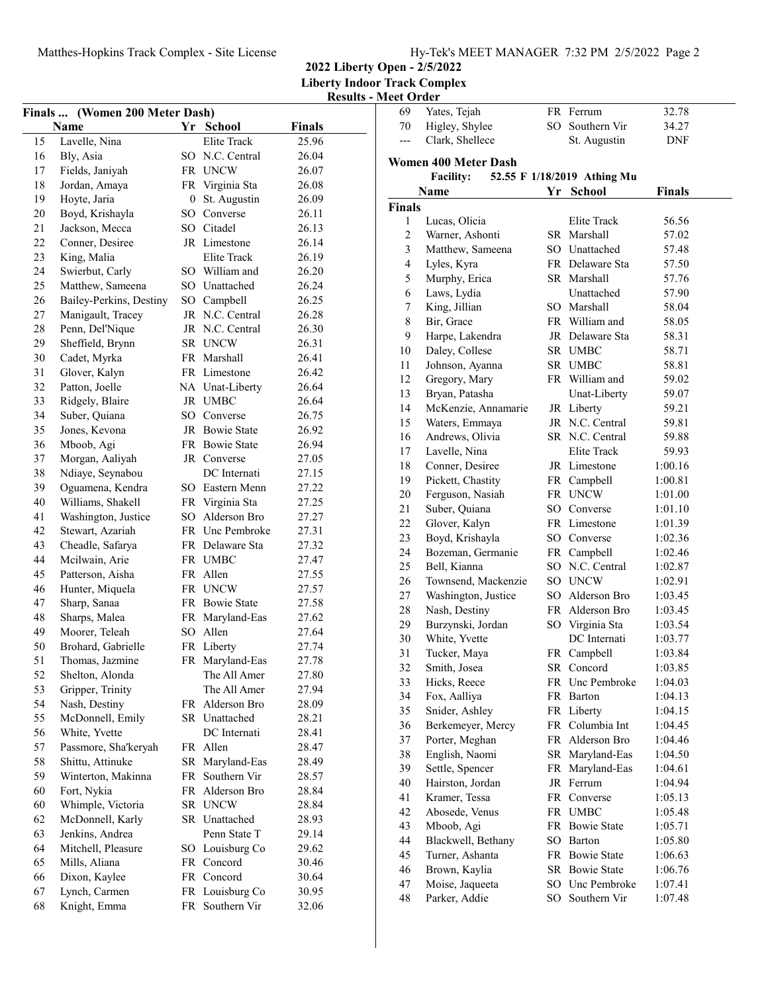**2022 Liberty Open - 2/5/2022**

**Liberty Indoor Track Complex**

**Results - Meet Order**

|    | Finals  (Women 200 Meter Dash) |    |                       |        |
|----|--------------------------------|----|-----------------------|--------|
|    | Name                           |    | Yr School             | Finals |
| 15 | Lavelle, Nina                  |    | Elite Track           | 25.96  |
| 16 | Bly, Asia                      |    | SO N.C. Central       | 26.04  |
| 17 | Fields, Janiyah                |    | FR UNCW               | 26.07  |
| 18 | Jordan, Amaya                  |    | FR Virginia Sta       | 26.08  |
| 19 | Hoyte, Jaria                   | 0  | St. Augustin          | 26.09  |
| 20 | Boyd, Krishayla                |    | SO Converse           | 26.11  |
| 21 | Jackson, Mecca                 |    | SO Citadel            | 26.13  |
| 22 | Conner, Desiree                |    | JR Limestone          | 26.14  |
| 23 | King, Malia                    |    | Elite Track           | 26.19  |
| 24 | Swierbut, Carly                |    | SO William and        | 26.20  |
| 25 | Matthew, Sameena               |    | SO Unattached         | 26.24  |
| 26 | Bailey-Perkins, Destiny        |    | SO Campbell           | 26.25  |
| 27 | Manigault, Tracey              |    | JR N.C. Central       | 26.28  |
| 28 | Penn, Del'Nique                |    | JR N.C. Central       | 26.30  |
| 29 | Sheffield, Brynn               |    | SR UNCW               | 26.31  |
| 30 | Cadet, Myrka                   |    | FR Marshall           | 26.41  |
| 31 | Glover, Kalyn                  |    | FR Limestone          | 26.42  |
| 32 | Patton, Joelle                 |    | NA Unat-Liberty       | 26.64  |
| 33 | Ridgely, Blaire                |    | JR UMBC               | 26.64  |
| 34 | Suber, Quiana                  |    | SO Converse           | 26.75  |
| 35 | Jones, Kevona                  |    | JR Bowie State        | 26.92  |
| 36 | Mboob, Agi                     |    | FR Bowie State        | 26.94  |
| 37 | Morgan, Aaliyah                |    | JR Converse           | 27.05  |
| 38 | Ndiaye, Seynabou               |    | DC Internati          | 27.15  |
| 39 | Oguamena, Kendra               |    | SO Eastern Menn       | 27.22  |
| 40 | Williams, Shakell              |    | FR Virginia Sta       | 27.25  |
| 41 | Washington, Justice            |    | SO Alderson Bro       | 27.27  |
| 42 | Stewart, Azariah               |    | FR Unc Pembroke       | 27.31  |
| 43 | Cheadle, Safarya               |    | FR Delaware Sta       | 27.32  |
| 44 | Mcilwain, Arie                 |    | FR UMBC               | 27.47  |
| 45 | Patterson, Aisha               |    | FR Allen              | 27.55  |
| 46 | Hunter, Miquela                |    | FR UNCW               | 27.57  |
| 47 | Sharp, Sanaa                   |    | <b>FR</b> Bowie State | 27.58  |
| 48 | Sharps, Malea                  |    | FR Maryland-Eas       | 27.62  |
| 49 | Moorer, Teleah                 |    | SO Allen              | 27.64  |
| 50 | Brohard, Gabrielle             | FR | Liberty               | 27.74  |
| 51 | Thomas, Jazmine                | FR | Maryland-Eas          | 27.78  |
| 52 | Shelton, Alonda                |    | The All Amer          | 27.80  |
| 53 | Gripper, Trinity               |    | The All Amer          | 27.94  |
| 54 | Nash, Destiny                  |    | FR Alderson Bro       | 28.09  |
| 55 | McDonnell, Emily               |    | SR Unattached         | 28.21  |
| 56 | White, Yvette                  |    | DC Internati          | 28.41  |
| 57 | Passmore, Sha'keryah           |    | FR Allen              | 28.47  |
| 58 | Shittu, Attinuke               | SR | Maryland-Eas          | 28.49  |
| 59 | Winterton, Makinna             | FR | Southern Vir          | 28.57  |
| 60 | Fort, Nykia                    |    | FR Alderson Bro       | 28.84  |
| 60 | Whimple, Victoria              |    | SR UNCW               | 28.84  |
| 62 | McDonnell, Karly               |    | SR Unattached         | 28.93  |
| 63 | Jenkins, Andrea                |    | Penn State T          | 29.14  |
| 64 | Mitchell, Pleasure             | SO | Louisburg Co          | 29.62  |
| 65 | Mills, Aliana                  |    | FR Concord            | 30.46  |
| 66 | Dixon, Kaylee                  |    | FR Concord            | 30.64  |
| 67 | Lynch, Carmen                  | FR | Louisburg Co          | 30.95  |
| 68 | Knight, Emma                   | FR | Southern Vir          | 32.06  |
|    |                                |    |                       |        |

| 69             | Yates, Tejah                |     | FR Ferrum                   | 32.78   |
|----------------|-----------------------------|-----|-----------------------------|---------|
| 70             | Higley, Shylee              |     | SO Southern Vir             | 34.27   |
| ---            | Clark, Shellece             |     | St. Augustin                | DNF     |
|                |                             |     |                             |         |
|                | <b>Women 400 Meter Dash</b> |     |                             |         |
|                | <b>Facility:</b>            |     | 52.55 F 1/18/2019 Athing Mu |         |
|                | Name                        |     | Yr School                   | Finals  |
| <b>Finals</b>  |                             |     |                             |         |
| 1              | Lucas, Olicia               |     | Elite Track                 | 56.56   |
| $\overline{c}$ | Warner, Ashonti             |     | SR Marshall                 | 57.02   |
| 3              | Matthew, Sameena            |     | SO Unattached               | 57.48   |
| 4              | Lyles, Kyra                 |     | FR Delaware Sta             | 57.50   |
| 5              | Murphy, Erica               |     | SR Marshall                 | 57.76   |
| 6              | Laws, Lydia                 |     | Unattached                  | 57.90   |
| 7              | King, Jillian               |     | SO Marshall                 | 58.04   |
| $\,$ $\,$      | Bir, Grace                  |     | FR William and              | 58.05   |
| 9              | Harpe, Lakendra             |     | JR Delaware Sta             | 58.31   |
| 10             | Daley, Collese              |     | SR UMBC                     | 58.71   |
| 11             | Johnson, Ayanna             |     | SR UMBC                     | 58.81   |
| 12             | Gregory, Mary               |     | FR William and              | 59.02   |
| 13             | Bryan, Patasha              |     | Unat-Liberty                | 59.07   |
| 14             | McKenzie, Annamarie         |     | JR Liberty                  | 59.21   |
| 15             | Waters, Emmaya              |     | JR N.C. Central             | 59.81   |
| 16             | Andrews, Olivia             |     | SR N.C. Central             | 59.88   |
| 17             | Lavelle, Nina               |     | Elite Track                 | 59.93   |
| 18             | Conner, Desiree             |     | JR Limestone                | 1:00.16 |
| 19             | Pickett, Chastity           |     | FR Campbell                 | 1:00.81 |
| 20             | Ferguson, Nasiah            |     | FR UNCW                     | 1:01.00 |
| 21             | Suber, Quiana               |     | SO Converse                 | 1:01.10 |
| 22             | Glover, Kalyn               |     | FR Limestone                | 1:01.39 |
| 23             | Boyd, Krishayla             |     | SO Converse                 | 1:02.36 |
| 24             | Bozeman, Germanie           |     | FR Campbell                 | 1:02.46 |
| 25             | Bell, Kianna                |     | SO N.C. Central             | 1:02.87 |
| 26             | Townsend, Mackenzie         |     | SO UNCW                     | 1:02.91 |
| 27             | Washington, Justice         |     | SO Alderson Bro             | 1:03.45 |
| 28             | Nash, Destiny               |     | FR Alderson Bro             | 1:03.45 |
| 29             | Burzynski, Jordan           |     | SO Virginia Sta             | 1:03.54 |
| 30             | White, Yvette               |     | DC Internati                | 1:03.77 |
| 31             | Tucker, Maya                |     | FR Campbell                 | 1:03.84 |
| 32             | Smith, Josea                |     | SR Concord                  | 1:03.85 |
| 33             | Hicks, Reece                |     | FR Unc Pembroke             | 1:04.03 |
| 34             | Fox, Aalliya                |     | FR Barton                   | 1:04.13 |
| 35             | Snider, Ashley              |     | FR Liberty                  | 1:04.15 |
| 36             | Berkemeyer, Mercy           |     | FR Columbia Int             | 1:04.45 |
| 37             | Porter, Meghan              |     | FR Alderson Bro             | 1:04.46 |
| 38             | English, Naomi              |     | SR Maryland-Eas             | 1:04.50 |
|                |                             |     | Maryland-Eas                |         |
| 39             | Settle, Spencer             | FR  |                             | 1:04.61 |
| 40             | Hairston, Jordan            |     | JR Ferrum                   | 1:04.94 |
| 41             | Kramer, Tessa               |     | FR Converse                 | 1:05.13 |
| 42             | Abosede, Venus              |     | FR UMBC                     | 1:05.48 |
| 43             | Mboob, Agi                  |     | FR Bowie State              | 1:05.71 |
| 44             | Blackwell, Bethany          | SO. | Barton                      | 1:05.80 |
| 45             | Turner, Ashanta             |     | FR Bowie State              | 1:06.63 |
| 46             | Brown, Kaylia               |     | SR Bowie State              | 1:06.76 |
| 47             | Moise, Jaqueeta             |     | SO Unc Pembroke             | 1:07.41 |
| 48             | Parker, Addie               | SO. | Southern Vir                | 1:07.48 |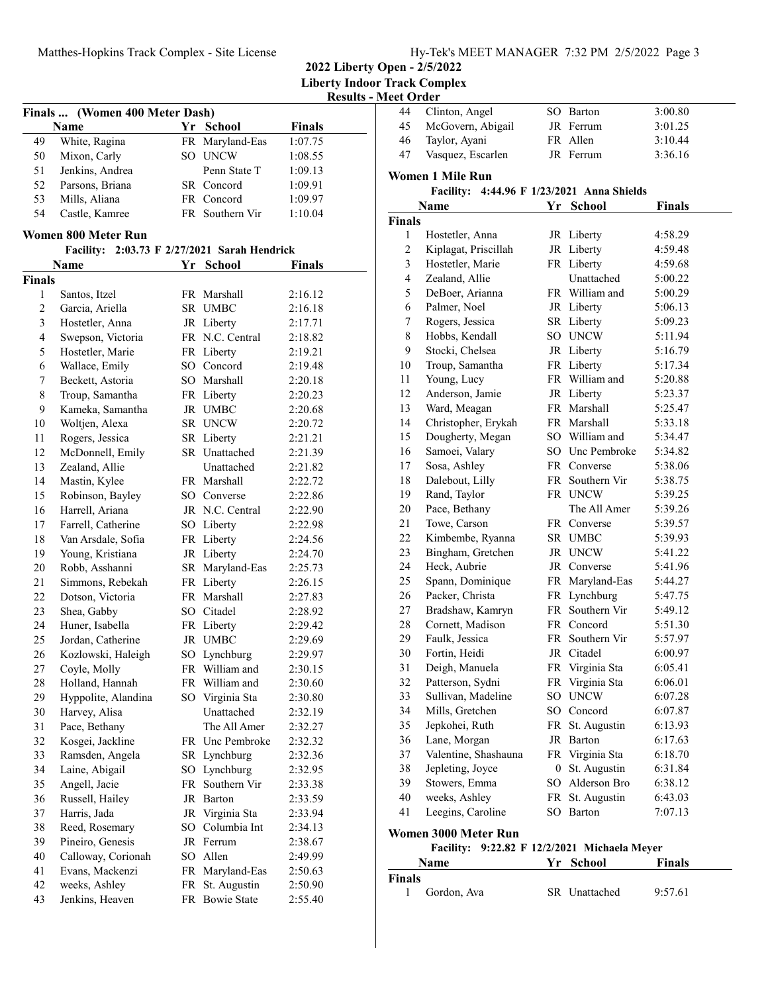**2022 Liberty Open - 2/5/2022**

**Liberty Indoor Track Complex Results - Meet Order**

|                | Finals  (Women 400 Meter Dash) |    |                                    | ixesuits      |  |
|----------------|--------------------------------|----|------------------------------------|---------------|--|
|                |                                |    |                                    |               |  |
|                | Name                           |    | Yr School                          | <b>Finals</b> |  |
| 49             | White, Ragina                  |    | FR Maryland-Eas                    | 1:07.75       |  |
| 50             | Mixon, Carly                   |    | SO UNCW                            | 1:08.55       |  |
| 51             | Jenkins, Andrea                |    | Penn State T                       | 1:09.13       |  |
| 52             | Parsons, Briana                |    | SR Concord                         | 1:09.91       |  |
| 53             | Mills, Aliana                  |    | FR Concord                         | 1:09.97       |  |
| 54             | Castle, Kamree                 |    | FR Southern Vir                    | 1:10.04       |  |
|                | Women 800 Meter Run            |    |                                    |               |  |
|                | <b>Facility:</b>               |    | 2:03.73 F 2/27/2021 Sarah Hendrick |               |  |
|                | Name                           | Yr | <b>School</b>                      | <b>Finals</b> |  |
| <b>Finals</b>  |                                |    |                                    |               |  |
| 1              | Santos, Itzel                  |    | FR Marshall                        | 2:16.12       |  |
| $\overline{2}$ | Garcia, Ariella                |    | SR UMBC                            | 2:16.18       |  |
| 3              | Hostetler, Anna                |    | JR Liberty                         | 2:17.71       |  |
| 4              | Swepson, Victoria              |    | FR N.C. Central                    | 2:18.82       |  |
| 5              | Hostetler, Marie               |    | FR Liberty                         | 2:19.21       |  |
| 6              | Wallace, Emily                 |    | SO Concord                         | 2:19.48       |  |
| 7              | Beckett, Astoria               |    | SO Marshall                        | 2:20.18       |  |
| 8              | Troup, Samantha                |    | FR Liberty                         | 2:20.23       |  |
| 9              | Kameka, Samantha               |    | JR UMBC                            | 2:20.68       |  |
| 10             | Woltjen, Alexa                 |    | SR UNCW                            | 2:20.72       |  |
| 11             | Rogers, Jessica                |    | SR Liberty                         | 2:21.21       |  |
| 12             | McDonnell, Emily               |    | SR Unattached                      | 2:21.39       |  |
| 13             | Zealand, Allie                 |    | Unattached                         | 2:21.82       |  |
| 14             | Mastin, Kylee                  |    | FR Marshall                        | 2:22.72       |  |
| 15             | Robinson, Bayley               |    | SO Converse                        | 2:22.86       |  |
| 16             | Harrell, Ariana                |    | JR N.C. Central                    | 2:22.90       |  |
| 17             | Farrell, Catherine             |    | SO Liberty                         | 2:22.98       |  |
| 18             | Van Arsdale, Sofia             |    | FR Liberty                         | 2:24.56       |  |
| 19             | Young, Kristiana               |    | JR Liberty                         | 2:24.70       |  |
| 20             | Robb, Asshanni                 |    | SR Maryland-Eas                    | 2:25.73       |  |
| 21             | Simmons, Rebekah               |    | FR Liberty                         | 2:26.15       |  |
| 22             | Dotson, Victoria               |    | FR Marshall                        | 2:27.83       |  |
| 23             | Shea, Gabby                    |    | SO Citadel                         | 2:28.92       |  |
| 24             | Huner, Isabella                |    | FR Liberty                         | 2:29.42       |  |
| 25             | Jordan, Catherine              |    | JR UMBC                            | 2:29.69       |  |
| 26             | Kozlowski, Haleigh             |    | SO Lynchburg                       | 2:29.97       |  |
| 27             | Coyle, Molly                   |    | FR William and                     | 2:30.15       |  |
| 28             | Holland, Hannah                |    | FR William and                     | 2:30.60       |  |
| 29             | Hyppolite, Alandina            |    | SO Virginia Sta                    | 2:30.80       |  |
| 30             | Harvey, Alisa                  |    | Unattached                         | 2:32.19       |  |
| 31             | Pace, Bethany                  |    | The All Amer                       |               |  |
|                |                                |    |                                    | 2:32.27       |  |
| 32             | Kosgei, Jackline               |    | FR Unc Pembroke                    | 2:32.32       |  |
| 33             | Ramsden, Angela                |    | SR Lynchburg                       | 2:32.36       |  |
| 34             | Laine, Abigail                 |    | SO Lynchburg                       | 2:32.95       |  |
| 35             | Angell, Jacie                  | FR | Southern Vir                       | 2:33.38       |  |
| 36             | Russell, Hailey                |    | JR Barton                          | 2:33.59       |  |
| 37             | Harris, Jada                   |    | JR Virginia Sta                    | 2:33.94       |  |
| 38             | Reed, Rosemary                 |    | SO Columbia Int                    | 2:34.13       |  |
| 39             | Pineiro, Genesis               |    | JR Ferrum                          | 2:38.67       |  |
| 40             | Calloway, Corionah             |    | SO Allen                           | 2:49.99       |  |
| 41             | Evans, Mackenzi                | FR | Maryland-Eas                       | 2:50.63       |  |
| 42             | weeks, Ashley                  | FR | St. Augustin                       | 2:50.90       |  |
| 43             | Jenkins, Heaven                |    | FR Bowie State                     | 2:55.40       |  |

| 44            | Clinton, Angel          | SО | Barton                             | 3:00.80       |
|---------------|-------------------------|----|------------------------------------|---------------|
| 45            | McGovern, Abigail       |    | JR Ferrum                          | 3:01.25       |
| 46            | Taylor, Ayani           |    | FR Allen                           | 3:10.44       |
| 47            | Vasquez, Escarlen       |    | JR Ferrum                          | 3:36.16       |
|               |                         |    |                                    |               |
|               | <b>Women 1 Mile Run</b> |    |                                    |               |
|               | <b>Facility:</b>        |    | 4:44.96 F 1/23/2021 Anna Shields   |               |
|               | Name                    | Yr | <b>School</b>                      | <b>Finals</b> |
| <b>Finals</b> |                         |    |                                    |               |
| 1             | Hostetler, Anna         |    | JR Liberty                         | 4:58.29       |
| 2             | Kiplagat, Priscillah    |    | JR Liberty                         | 4:59.48       |
| 3             | Hostetler, Marie        |    | FR Liberty                         | 4:59.68       |
| 4             | Zealand, Allie          |    | Unattached                         | 5:00.22       |
| 5             | DeBoer, Arianna         |    | FR William and                     | 5:00.29       |
| 6             | Palmer, Noel            |    | JR Liberty                         | 5:06.13       |
| 7             | Rogers, Jessica         |    | SR Liberty                         | 5:09.23       |
| 8             | Hobbs, Kendall          |    | SO UNCW                            | 5:11.94       |
| 9             | Stocki, Chelsea         |    | JR Liberty                         | 5:16.79       |
| 10            | Troup, Samantha         |    | FR Liberty                         | 5:17.34       |
| 11            | Young, Lucy             |    | FR William and                     | 5:20.88       |
| 12            | Anderson, Jamie         |    | JR Liberty                         | 5:23.37       |
| 13            | Ward, Meagan            |    | FR Marshall                        | 5:25.47       |
| 14            | Christopher, Erykah     |    | FR Marshall                        | 5:33.18       |
| 15            | Dougherty, Megan        |    | SO William and                     | 5:34.47       |
| 16            | Samoei, Valary          |    | SO Unc Pembroke                    | 5:34.82       |
| 17            | Sosa, Ashley            |    | FR Converse                        | 5:38.06       |
| 18            | Dalebout, Lilly         |    | FR Southern Vir                    | 5:38.75       |
| 19            | Rand, Taylor            |    | FR UNCW                            | 5:39.25       |
| 20            | Pace, Bethany           |    | The All Amer                       | 5:39.26       |
| 21            | Towe, Carson            |    | FR Converse                        | 5:39.57       |
| 22            | Kimbembe, Ryanna        |    | SR UMBC                            | 5:39.93       |
| 23            | Bingham, Gretchen       |    | JR UNCW                            | 5:41.22       |
| 24            | Heck, Aubrie            |    | JR Converse                        | 5:41.96       |
| 25            | Spann, Dominique        |    | FR Maryland-Eas                    | 5:44.27       |
| 26            | Packer, Christa         |    | FR Lynchburg                       | 5:47.75       |
| 27            | Bradshaw, Kamryn        |    | FR Southern Vir                    | 5:49.12       |
| 28            | Cornett, Madison        |    | FR Concord                         | 5:51.30       |
| 29            | Faulk, Jessica          |    | FR Southern Vir                    | 5:57.97       |
| 30            | Fortin, Heidi           |    | JR Citadel                         | 6:00.97       |
| 31            | Deigh, Manuela          |    | FR Virginia Sta                    | 6:05.41       |
| 32            | Patterson, Sydni        |    | FR Virginia Sta                    | 6:06.01       |
| 33            | Sullivan, Madeline      |    | SO UNCW                            | 6:07.28       |
| 34            | Mills, Gretchen         |    | SO Concord                         | 6:07.87       |
| 35            | Jepkohei, Ruth          |    | FR St. Augustin                    | 6:13.93       |
| 36            | Lane, Morgan            |    | JR Barton                          | 6:17.63       |
| 37            | Valentine, Shashauna    |    | FR Virginia Sta                    | 6:18.70       |
| 38            | Jepleting, Joyce        | 0  | St. Augustin                       | 6:31.84       |
| 39            | Stowers, Emma           |    | SO Alderson Bro                    | 6:38.12       |
| 40            | weeks, Ashley           |    | FR St. Augustin                    | 6:43.03       |
| 41            | Leegins, Caroline       |    | SO Barton                          | 7:07.13       |
|               |                         |    |                                    |               |
|               | Women 3000 Meter Run    |    |                                    |               |
|               | <b>Facility:</b>        |    | 9:22.82 F 12/2/2021 Michaela Meyer |               |
|               | Name                    | Yr | <b>School</b>                      | <b>Finals</b> |
| <b>Finals</b> |                         |    |                                    |               |
| 1             | Gordon, Ava             |    | SR Unattached                      | 9:57.61       |
|               |                         |    |                                    |               |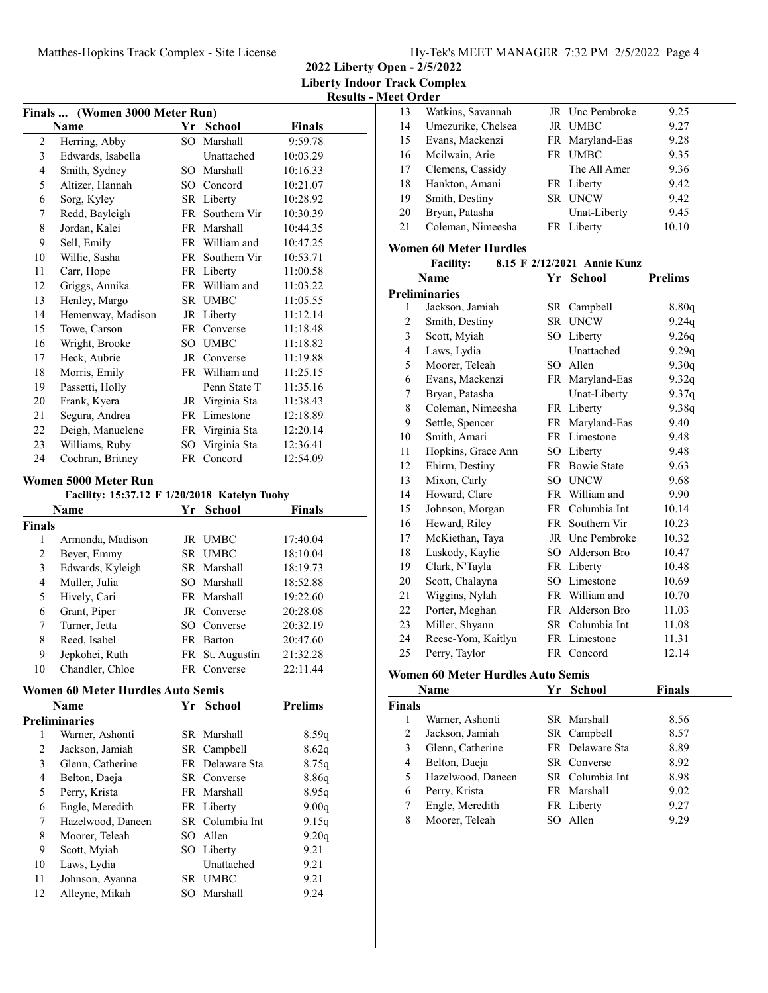**2022 Liberty Open - 2/5/2022**

**Liberty Indoor Track Complex**

**Results - Meet Order**

| Finals  (Women 3000 Meter Run) |                                                                                                         |                 |                 |          |
|--------------------------------|---------------------------------------------------------------------------------------------------------|-----------------|-----------------|----------|
|                                | Name                                                                                                    |                 | Yr School       | Finals   |
| 2                              | Herring, Abby                                                                                           | $SO^-$          | Marshall        | 9:59.78  |
| 3                              | Edwards, Isabella                                                                                       |                 | Unattached      | 10:03.29 |
| 4                              | Smith, Sydney                                                                                           |                 | SO Marshall     | 10:16.33 |
| 5                              | Altizer, Hannah                                                                                         |                 | SO Concord      | 10:21.07 |
| 6                              | Sorg, Kyley                                                                                             |                 | SR Liberty      | 10:28.92 |
| 7                              | Redd, Bayleigh                                                                                          | FR -            | Southern Vir    | 10:30.39 |
| 8                              | Jordan, Kalei                                                                                           |                 | FR Marshall     | 10:44.35 |
| 9                              | Sell, Emily                                                                                             |                 | FR William and  | 10:47.25 |
| 10                             | Willie, Sasha                                                                                           |                 | FR Southern Vir | 10:53.71 |
| 11                             | Carr, Hope                                                                                              |                 | FR Liberty      | 11:00.58 |
| 12                             | Griggs, Annika                                                                                          |                 | FR William and  | 11:03.22 |
| 13                             | Henley, Margo                                                                                           |                 | SR UMBC         | 11:05.55 |
| 14                             | Hemenway, Madison                                                                                       |                 | JR Liberty      | 11:12.14 |
| 15                             | Towe, Carson                                                                                            |                 | FR Converse     | 11:18.48 |
| 16                             | Wright, Brooke                                                                                          |                 | SO UMBC         | 11:18.82 |
| 17                             | Heck, Aubrie                                                                                            |                 | JR Converse     | 11:19.88 |
| 18                             | Morris, Emily                                                                                           |                 | FR William and  | 11:25.15 |
| 19                             | Passetti, Holly                                                                                         |                 | Penn State T    | 11:35.16 |
| 20                             | Frank, Kyera                                                                                            |                 | JR Virginia Sta | 11:38.43 |
| 21                             | Segura, Andrea                                                                                          |                 | FR Limestone    | 12:18.89 |
| 22                             | Deigh, Manuelene                                                                                        |                 | FR Virginia Sta | 12:20.14 |
| 23                             | Williams, Ruby                                                                                          | SO <sub>2</sub> | Virginia Sta    | 12:36.41 |
| 24                             | Cochran, Britney                                                                                        | FR              | Concord         | 12:54.09 |
|                                | Women 5000 Meter Run<br>$\mathbf{u}$ , $\mathbf{u} = \mathbf{v} + \mathbf{v} + \mathbf{v} + \mathbf{v}$ |                 | <b>CENT</b>     |          |

#### Facility: 15:37.12 F 1/20/2018 Katelyn Tuohy **Name** *Yr* **School <b>Finals Finals** 1 Armonda, Madison JR UMBC 17:40.04 2 Beyer, Emmy SR UMBC 18:10.04 3 18:19.73 Edwards, Kyleigh SR Marshall 4 Muller, Julia SO Marshall 18:52.88 5 Hively, Cari FR Marshall 19:22.60 6 20:28.08 Grant, Piper JR Converse 7 Turner, Jetta SO Converse 20:32.19 8 20:47.60 Reed, Isabel FR Barton 9 Jepkohei, Ruth FR St. Augustin 21:32.28 10 Chandler, Chloe FR Converse 22:11.44

## **Women 60 Meter Hurdles Auto Semis**

|    | Name                 | Yr | <b>School</b>   | <b>Prelims</b> |  |
|----|----------------------|----|-----------------|----------------|--|
|    | <b>Preliminaries</b> |    |                 |                |  |
|    | Warner, Ashonti      |    | SR Marshall     | 8.59q          |  |
| 2  | Jackson, Jamiah      |    | SR Campbell     | 8.62q          |  |
| 3  | Glenn, Catherine     |    | FR Delaware Sta | 8.75q          |  |
| 4  | Belton, Daeja        |    | SR Converse     | 8.86q          |  |
| 5  | Perry, Krista        |    | FR Marshall     | 8.95q          |  |
| 6  | Engle, Meredith      |    | FR Liberty      | 9.00q          |  |
| 7  | Hazelwood, Daneen    |    | SR Columbia Int | 9.15q          |  |
| 8  | Moorer, Teleah       |    | SO Allen        | 9.20q          |  |
| 9  | Scott, Myiah         |    | SO Liberty      | 9.21           |  |
| 10 | Laws, Lydia          |    | Unattached      | 9.21           |  |
| 11 | Johnson, Ayanna      |    | SR UMBC         | 9.21           |  |
| 12 | Alleyne, Mikah       |    | SO Marshall     | 9.24           |  |
|    |                      |    |                 |                |  |

| 13 | Watkins, Savannah  | <b>JR</b> Unc Pembroke | 9.25  |
|----|--------------------|------------------------|-------|
| 14 | Umezurike, Chelsea | JR UMBC                | 9.27  |
| 15 | Evans, Mackenzi    | FR Maryland-Eas        | 9.28  |
| 16 | Mcilwain, Arie     | FR UMBC                | 9.35  |
| 17 | Clemens, Cassidy   | The All Amer           | 9.36  |
| 18 | Hankton, Amani     | FR Liberty             | 9.42  |
| 19 | Smith, Destiny     | SR UNCW                | 9.42  |
| 20 | Bryan, Patasha     | Unat-Liberty           | 9.45  |
| 21 | Coleman, Nimeesha  | FR Liberty             | 10.10 |
|    |                    |                        |       |

### **Women 60 Meter Hurdles**

| <b>Facility:</b> |  | 8.15 F 2/12/2021 Annie Kunz |
|------------------|--|-----------------------------|
|------------------|--|-----------------------------|

| Name |                      | Yr  | School          | <b>Prelims</b> |  |
|------|----------------------|-----|-----------------|----------------|--|
|      | <b>Preliminaries</b> |     |                 |                |  |
| 1    | Jackson, Jamiah      |     | SR Campbell     | 8.80q          |  |
| 2    | Smith, Destiny       |     | SR UNCW         | 9.24q          |  |
| 3    | Scott, Myiah         | SO  | Liberty         | 9.26q          |  |
| 4    | Laws, Lydia          |     | Unattached      | 9.29q          |  |
| 5    | Moorer, Teleah       | SO. | Allen           | 9.30q          |  |
| 6    | Evans, Mackenzi      |     | FR Maryland-Eas | 9.32q          |  |
| 7    | Bryan, Patasha       |     | Unat-Liberty    | 9.37q          |  |
| 8    | Coleman, Nimeesha    |     | FR Liberty      | 9.38q          |  |
| 9    | Settle, Spencer      |     | FR Maryland-Eas | 9.40           |  |
| 10   | Smith, Amari         |     | FR Limestone    | 9.48           |  |
| 11   | Hopkins, Grace Ann   |     | SO Liberty      | 9.48           |  |
| 12   | Ehirm, Destiny       |     | FR Bowie State  | 9.63           |  |
| 13   | Mixon, Carly         |     | SO UNCW         | 9.68           |  |
| 14   | Howard, Clare        |     | FR William and  | 9.90           |  |
| 15   | Johnson, Morgan      |     | FR Columbia Int | 10.14          |  |
| 16   | Heward, Riley        | FR  | Southern Vir    | 10.23          |  |
| 17   | McKiethan, Taya      |     | JR Unc Pembroke | 10.32          |  |
| 18   | Laskody, Kaylie      |     | SO Alderson Bro | 10.47          |  |
| 19   | Clark, N'Tayla       |     | FR Liberty      | 10.48          |  |
| 20   | Scott, Chalayna      |     | SO Limestone    | 10.69          |  |
| 21   | Wiggins, Nylah       |     | FR William and  | 10.70          |  |
| 22   | Porter, Meghan       |     | FR Alderson Bro | 11.03          |  |
| 23   | Miller, Shyann       |     | SR Columbia Int | 11.08          |  |
| 24   | Reese-Yom, Kaitlyn   |     | FR Limestone    | 11.31          |  |
| 25   | Perry, Taylor        |     | FR Concord      | 12.14          |  |

#### **Women 60 Meter Hurdles Auto Semis**

| Name          |                   | Yr | <b>School</b>   | <b>Finals</b> |
|---------------|-------------------|----|-----------------|---------------|
| <b>Finals</b> |                   |    |                 |               |
|               | Warner, Ashonti   |    | SR Marshall     | 8.56          |
| 2             | Jackson, Jamiah   |    | SR Campbell     | 8.57          |
| 3             | Glenn, Catherine  |    | FR Delaware Sta | 8.89          |
| 4             | Belton, Daeja     |    | SR Converse     | 8.92          |
| 5             | Hazelwood, Daneen |    | SR Columbia Int | 8.98          |
| 6             | Perry, Krista     |    | FR Marshall     | 9.02          |
|               | Engle, Meredith   |    | FR Liberty      | 9.27          |
| 8             | Moorer, Teleah    |    | SO Allen        | 9.29          |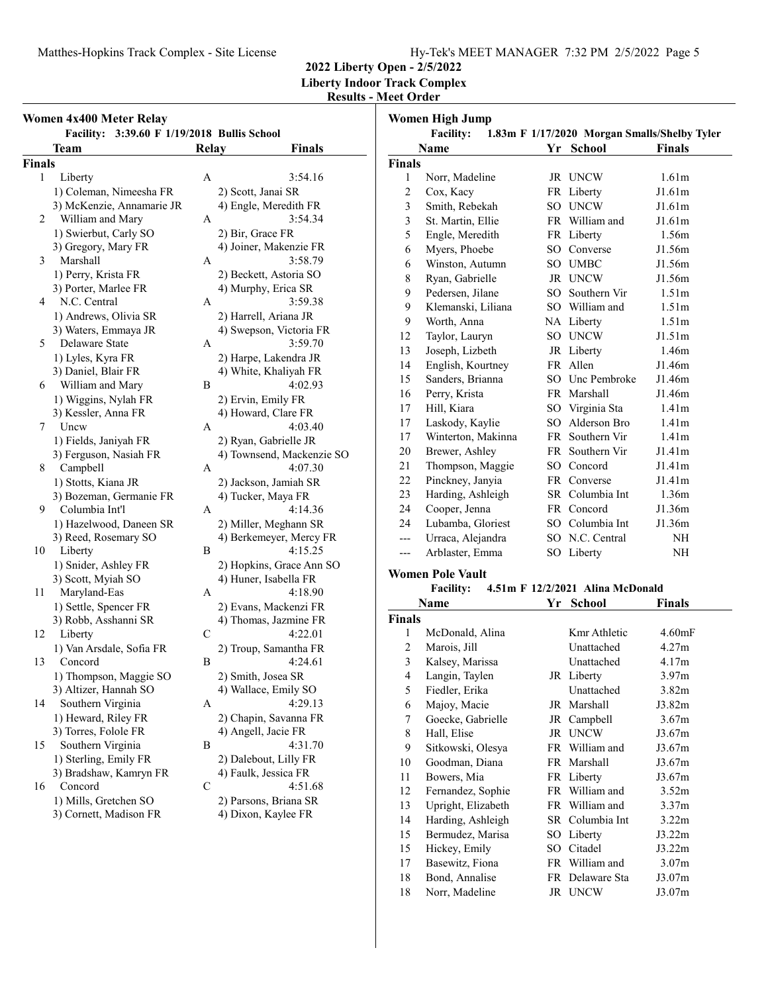# Matthes-Hopkins Track Complex - Site License Hy-Tek's MEET MANAGER 7:32 PM 2/5/2022 Page 5

18 Bond, Annalise FR Delaware Sta J3.07m 18 Norr, Madeline JR UNCW J3.07m

**2022 Liberty Open - 2/5/2022 Liberty Indoor Track Complex**

## **Results - Meet Order Women High Jump**

| Women 4x400 Meter Relay                                    |              |                                            |               | <b>Women High Jump</b>   |                                                           |                   |
|------------------------------------------------------------|--------------|--------------------------------------------|---------------|--------------------------|-----------------------------------------------------------|-------------------|
| Facility: 3:39.60 F 1/19/2018 Bullis School<br><b>Team</b> | Relay        | <b>Finals</b>                              |               | <b>Facility:</b><br>Name | 1.83m F 1/17/2020 Morgan Smalls/Shelby Tyler<br>Yr School | <b>Finals</b>     |
| Finals                                                     |              |                                            | <b>Finals</b> |                          |                                                           |                   |
| Liberty<br>$\mathbf{1}$                                    | A            | 3:54.16                                    | $\mathbf{1}$  | Norr, Madeline           | JR UNCW                                                   | 1.61m             |
| 1) Coleman, Nimeesha FR                                    |              | 2) Scott, Janai SR                         | 2             | Cox, Kacy                | FR Liberty                                                | J1.61m            |
| 3) McKenzie, Annamarie JR                                  |              | 4) Engle, Meredith FR                      | 3             | Smith, Rebekah           | SO UNCW                                                   | J1.61m            |
| William and Mary<br>2                                      | A            | 3:54.34                                    | 3             | St. Martin, Ellie        | FR William and                                            | J1.61m            |
| 1) Swierbut, Carly SO                                      |              | 2) Bir, Grace FR                           | 5             | Engle, Meredith          | FR Liberty                                                | 1.56m             |
| 3) Gregory, Mary FR                                        |              | 4) Joiner, Makenzie FR                     | 6             | Myers, Phoebe            | SO Converse                                               | J1.56m            |
| Marshall<br>3                                              | A            | 3:58.79                                    | 6             | Winston, Autumn          | SO UMBC                                                   | J1.56m            |
| 1) Perry, Krista FR                                        |              | 2) Beckett, Astoria SO                     | 8             | Ryan, Gabrielle          | JR UNCW                                                   | J1.56m            |
| 3) Porter, Marlee FR                                       |              | 4) Murphy, Erica SR                        | 9             | Pedersen, Jilane         | SO Southern Vir                                           | 1.51m             |
| N.C. Central<br>4                                          | A            | 3:59.38                                    | 9             | Klemanski, Liliana       | SO William and                                            | 1.51m             |
| 1) Andrews, Olivia SR                                      |              | 2) Harrell, Ariana JR                      | 9             | Worth, Anna              | NA Liberty                                                | 1.51m             |
| 3) Waters, Emmaya JR                                       |              | 4) Swepson, Victoria FR                    | 12            | Taylor, Lauryn           | SO UNCW                                                   | J1.51m            |
| Delaware State<br>5                                        | A            | 3:59.70                                    | 13            | Joseph, Lizbeth          |                                                           | 1.46m             |
| 1) Lyles, Kyra FR                                          |              | 2) Harpe, Lakendra JR                      | 14            | English, Kourtney        | JR Liberty<br>FR Allen                                    | J1.46m            |
| 3) Daniel, Blair FR                                        |              | 4) White, Khaliyah FR                      |               |                          | SO Unc Pembroke                                           | J1.46m            |
| William and Mary<br>6                                      | B            | 4:02.93                                    | 15            | Sanders, Brianna         |                                                           |                   |
| 1) Wiggins, Nylah FR                                       |              | 2) Ervin, Emily FR                         | 16            | Perry, Krista            | FR Marshall                                               | J1.46m            |
| 3) Kessler, Anna FR                                        |              | 4) Howard, Clare FR                        | 17            | Hill, Kiara              | SO Virginia Sta                                           | 1.41m             |
| 7<br>Uncw                                                  | A            | 4:03.40                                    | 17            | Laskody, Kaylie          | SO Alderson Bro                                           | 1.41m             |
| 1) Fields, Janiyah FR                                      |              | 2) Ryan, Gabrielle JR                      | 17            | Winterton, Makinna       | FR Southern Vir                                           | 1.41 <sub>m</sub> |
| 3) Ferguson, Nasiah FR                                     |              | 4) Townsend, Mackenzie SO                  | 20            | Brewer, Ashley           | FR Southern Vir                                           | J1.41m            |
| 8<br>Campbell                                              | A            | 4:07.30                                    | 21            | Thompson, Maggie         | SO Concord                                                | J1.41m            |
| 1) Stotts, Kiana JR                                        |              | 2) Jackson, Jamiah SR                      | 22            | Pinckney, Janyia         | FR Converse                                               | J1.41m            |
| 3) Bozeman, Germanie FR                                    |              | 4) Tucker, Maya FR                         | 23            | Harding, Ashleigh        | SR Columbia Int                                           | 1.36m             |
| Columbia Int'l<br>9                                        | $\mathbf{A}$ | 4:14.36                                    | 24            | Cooper, Jenna            | FR Concord                                                | J1.36m            |
| 1) Hazelwood, Daneen SR                                    |              | 2) Miller, Meghann SR                      | 24            | Lubamba, Gloriest        | SO Columbia Int                                           | J1.36m            |
| 3) Reed, Rosemary SO                                       |              | 4) Berkemeyer, Mercy FR                    | $---$         | Urraca, Alejandra        | SO N.C. Central                                           | NH                |
| Liberty<br>10                                              | B            | 4:15.25                                    | $---$         | Arblaster, Emma          | SO Liberty                                                | <b>NH</b>         |
| 1) Snider, Ashley FR                                       |              | 2) Hopkins, Grace Ann SO                   |               | <b>Women Pole Vault</b>  |                                                           |                   |
| 3) Scott, Myiah SO                                         |              | 4) Huner, Isabella FR                      |               | <b>Facility:</b>         | 4.51m F 12/2/2021 Alina McDonald                          |                   |
| Maryland-Eas<br>11                                         | A            | 4:18.90                                    |               | Name                     | Yr School                                                 | <b>Finals</b>     |
| 1) Settle, Spencer FR                                      |              | 2) Evans, Mackenzi FR                      | <b>Finals</b> |                          |                                                           |                   |
| 3) Robb, Asshanni SR                                       | $\mathbf C$  | 4) Thomas, Jazmine FR<br>4:22.01           | 1             | McDonald, Alina          | Kmr Athletic                                              | 4.60mF            |
| Liberty<br>12<br>1) Van Arsdale, Sofia FR                  |              | 2) Troup, Samantha FR                      | 2             | Marois, Jill             | Unattached                                                | 4.27m             |
| 13<br>Concord                                              | B            | 4:24.61                                    | 3             | Kalsey, Marissa          | Unattached                                                | 4.17m             |
|                                                            |              |                                            | 4             | Langin, Taylen           | JR Liberty                                                |                   |
| 1) Thompson, Maggie SO<br>3) Altizer, Hannah SO            |              | 2) Smith, Josea SR<br>4) Wallace, Emily SO | 5             | Fiedler, Erika           | Unattached                                                | 3.97m<br>3.82m    |
| Southern Virginia<br>14                                    | A            | 4:29.13                                    |               | Majoy, Macie             | JR Marshall                                               | J3.82m            |
| 1) Heward, Riley FR                                        |              | 2) Chapin, Savanna FR                      | 6             | Goecke, Gabrielle        | JR Campbell                                               | 3.67m             |
| 3) Torres, Folole FR                                       |              | 4) Angell, Jacie FR                        | 7             | Hall, Elise              | JR UNCW                                                   |                   |
| Southern Virginia<br>15                                    | B            | 4:31.70                                    | 8             |                          |                                                           | J3.67m            |
| 1) Sterling, Emily FR                                      |              | 2) Dalebout, Lilly FR                      | 9             | Sitkowski, Olesya        | FR William and                                            | J3.67m            |
| 3) Bradshaw, Kamryn FR                                     |              | 4) Faulk, Jessica FR                       | 10            | Goodman, Diana           | FR Marshall                                               | J3.67m            |
| Concord<br>16                                              | $\mathbf C$  | 4:51.68                                    | 11            | Bowers, Mia              | FR Liberty                                                | J3.67m            |
| 1) Mills, Gretchen SO                                      |              | 2) Parsons, Briana SR                      | 12            | Fernandez, Sophie        | FR William and                                            | 3.52m             |
| 3) Cornett, Madison FR                                     |              | 4) Dixon, Kaylee FR                        | 13            | Upright, Elizabeth       | FR William and                                            | 3.37m             |
|                                                            |              |                                            | 14            | Harding, Ashleigh        | SR Columbia Int                                           | 3.22m             |
|                                                            |              |                                            | 15            | Bermudez, Marisa         | SO Liberty                                                | J3.22m            |
|                                                            |              |                                            | 15            | Hickey, Emily            | SO Citadel                                                | J3.22m            |
|                                                            |              |                                            | 17            | Basewitz, Fiona          | FR William and                                            | 3.07m             |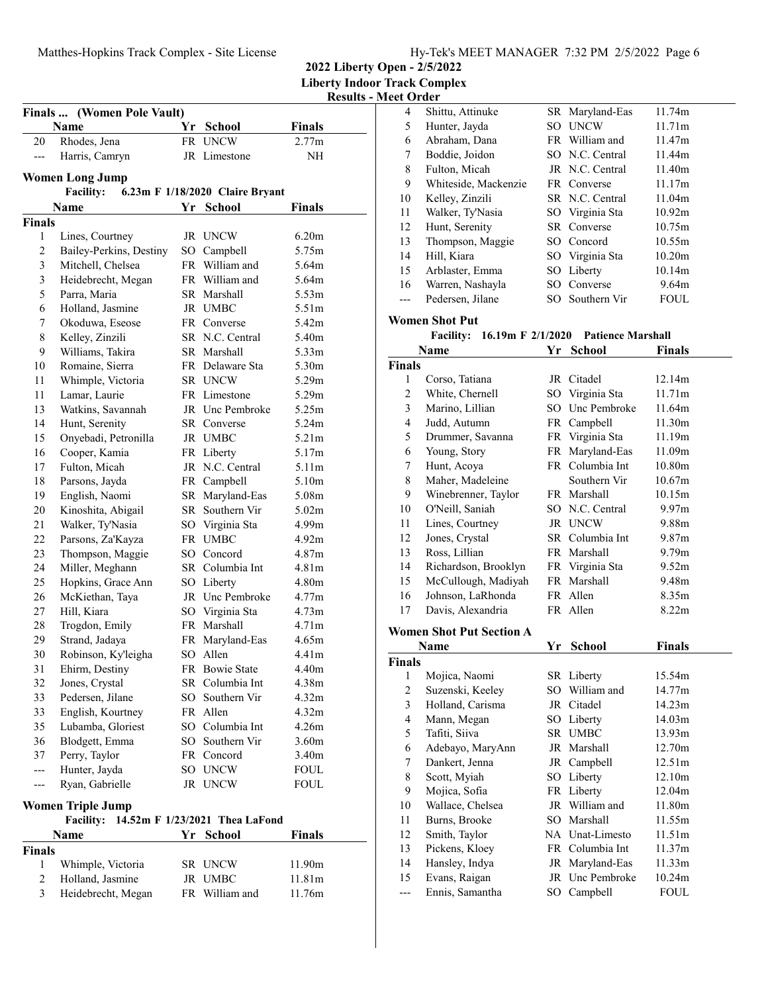| Hy-Tek's MEET MANAGER 7:32 PM 2/5/2022 Page 6 |  |  |
|-----------------------------------------------|--|--|
|                                               |  |  |

**2022 Liberty Open - 2/5/2022 Liberty Indoor Track Complex**

# **Results - Meet Order**

| Finals  (Women Pole Vault)                          |                          |    |                                |                   |  |  |  |
|-----------------------------------------------------|--------------------------|----|--------------------------------|-------------------|--|--|--|
|                                                     | Name                     | Yr | <b>School</b>                  | Finals            |  |  |  |
| 20                                                  | Rhodes, Jena             |    | FR UNCW                        | 2.77m             |  |  |  |
| ---                                                 | Harris, Camryn           |    | JR Limestone                   | NΗ                |  |  |  |
|                                                     | <b>Women Long Jump</b>   |    |                                |                   |  |  |  |
| <b>Facility:</b><br>6.23m F 1/18/2020 Claire Bryant |                          |    |                                |                   |  |  |  |
|                                                     | <b>Name</b>              |    | Yr School                      | Finals            |  |  |  |
| <b>Finals</b>                                       |                          |    |                                |                   |  |  |  |
| 1                                                   | Lines, Courtney          |    | JR UNCW                        | 6.20 <sub>m</sub> |  |  |  |
| $\overline{c}$                                      | Bailey-Perkins, Destiny  |    | SO Campbell                    | 5.75m             |  |  |  |
| 3                                                   | Mitchell, Chelsea        |    | FR William and                 | 5.64m             |  |  |  |
| 3                                                   | Heidebrecht, Megan       |    | FR William and                 | 5.64m             |  |  |  |
| 5                                                   | Parra, Maria             |    | SR Marshall                    | 5.53m             |  |  |  |
| 6                                                   | Holland, Jasmine         |    | JR UMBC                        | 5.51m             |  |  |  |
| 7                                                   | Okoduwa, Eseose          |    | FR Converse                    | 5.42m             |  |  |  |
| $\,$ 8 $\,$                                         | Kelley, Zinzili          |    | SR N.C. Central                | 5.40m             |  |  |  |
| 9                                                   | Williams, Takira         |    | SR Marshall                    | 5.33m             |  |  |  |
| 10                                                  | Romaine, Sierra          |    | FR Delaware Sta                | 5.30m             |  |  |  |
| 11                                                  | Whimple, Victoria        |    | SR UNCW                        | 5.29m             |  |  |  |
| 11                                                  | Lamar, Laurie            |    | FR Limestone                   | 5.29m             |  |  |  |
| 13                                                  | Watkins, Savannah        |    | JR Unc Pembroke                | 5.25m             |  |  |  |
| 14                                                  | Hunt, Serenity           |    | SR Converse                    | 5.24m             |  |  |  |
| 15                                                  | Onyebadi, Petronilla     |    | JR UMBC                        | 5.21m             |  |  |  |
| 16                                                  | Cooper, Kamia            |    | FR Liberty                     | 5.17m             |  |  |  |
| 17                                                  | Fulton, Micah            |    | JR N.C. Central                | 5.11m             |  |  |  |
| 18                                                  | Parsons, Jayda           |    | FR Campbell                    | 5.10m             |  |  |  |
| 19                                                  | English, Naomi           |    | SR Maryland-Eas                | 5.08m             |  |  |  |
| 20                                                  | Kinoshita, Abigail       |    | SR Southern Vir                | 5.02m             |  |  |  |
| 21                                                  | Walker, Ty'Nasia         |    | SO Virginia Sta                | 4.99m             |  |  |  |
| $22\,$                                              | Parsons, Za'Kayza        |    | FR UMBC                        | 4.92m             |  |  |  |
| 23                                                  | Thompson, Maggie         |    | SO Concord                     | 4.87m             |  |  |  |
| 24                                                  | Miller, Meghann          |    | SR Columbia Int                | 4.81 <sub>m</sub> |  |  |  |
| 25                                                  | Hopkins, Grace Ann       |    | SO Liberty                     | 4.80m             |  |  |  |
| 26                                                  | McKiethan, Taya          |    | JR Unc Pembroke                | 4.77m             |  |  |  |
| 27                                                  | Hill, Kiara              |    | SO Virginia Sta                | 4.73m             |  |  |  |
| 28                                                  | Trogdon, Emily           |    | FR Marshall                    | 4.71m             |  |  |  |
| 29                                                  | Strand, Jadaya           | FR | Maryland-Eas                   | 4.65m             |  |  |  |
| 30                                                  | Robinson, Ky'leigha      |    | SO Allen                       | 4.41m             |  |  |  |
| 31                                                  | Ehirm, Destiny           |    | FR Bowie State                 | 4.40m             |  |  |  |
| 32                                                  | Jones, Crystal           |    | SR Columbia Int                | 4.38m             |  |  |  |
| 33                                                  | Pedersen, Jilane         |    | SO Southern Vir                | 4.32m             |  |  |  |
| 33                                                  | English, Kourtney        |    | FR Allen                       | 4.32m             |  |  |  |
| 35                                                  | Lubamba, Gloriest        |    | SO Columbia Int                | 4.26m             |  |  |  |
| 36                                                  | Blodgett, Emma           |    | SO Southern Vir                | 3.60 <sub>m</sub> |  |  |  |
| 37                                                  | Perry, Taylor            |    | FR Concord                     | 3.40m             |  |  |  |
| ---                                                 | Hunter, Jayda            |    | SO UNCW                        | <b>FOUL</b>       |  |  |  |
| ---                                                 | Ryan, Gabrielle          |    | JR UNCW                        | FOUL              |  |  |  |
|                                                     | <b>Women Triple Jump</b> |    |                                |                   |  |  |  |
|                                                     | <b>Facility:</b>         |    | 14.52m F 1/23/2021 Thea LaFond |                   |  |  |  |
|                                                     | Name                     | Yr | <b>School</b>                  | Finals            |  |  |  |
| <b>Finals</b>                                       |                          |    |                                |                   |  |  |  |
| 1                                                   | Whimple, Victoria        |    | SR UNCW                        | 11.90m            |  |  |  |
| $\overline{c}$                                      | Holland, Jasmine         |    | JR UMBC                        | 11.81m            |  |  |  |
| 3                                                   | Heidebrecht, Megan       |    | FR William and                 | 11.76m            |  |  |  |
|                                                     |                          |    |                                |                   |  |  |  |

| 4  | Shittu, Attinuke     |     | SR Maryland-Eas | 11.74m      |
|----|----------------------|-----|-----------------|-------------|
| 5  | Hunter, Jayda        | SО  | <b>UNCW</b>     | 11.71m      |
| 6  | Abraham, Dana        |     | FR William and  | 11.47m      |
| 7  | Boddie, Joidon       |     | SO N.C. Central | 11.44m      |
| 8  | Fulton, Micah        |     | JR N.C. Central | 11.40m      |
| 9  | Whiteside, Mackenzie |     | FR Converse     | 11.17m      |
| 10 | Kelley, Zinzili      |     | SR N.C. Central | 11.04m      |
| 11 | Walker, Ty'Nasia     |     | SO Virginia Sta | 10.92m      |
| 12 | Hunt, Serenity       |     | SR Converse     | 10.75m      |
| 13 | Thompson, Maggie     |     | SO Concord      | 10.55m      |
| 14 | Hill, Kiara          |     | SO Virginia Sta | 10.20m      |
| 15 | Arblaster, Emma      |     | SO Liberty      | 10.14m      |
| 16 | Warren, Nashayla     |     | SO Converse     | 9.64m       |
|    | Pedersen, Jilane     | SO. | Southern Vir    | <b>FOUL</b> |

#### **Women Shot Put**

# **Facility:** 16.19m F 2/1/2020 Patience Marshall

|                         | Name                            | Yr | <b>School</b>   | <b>Finals</b>     |
|-------------------------|---------------------------------|----|-----------------|-------------------|
| <b>Finals</b>           |                                 |    |                 |                   |
| 1                       | Corso, Tatiana                  |    | JR Citadel      | 12.14m            |
| $\overline{c}$          | White, Chernell                 |    | SO Virginia Sta | 11.71m            |
| 3                       | Marino, Lillian                 |    | SO Unc Pembroke | 11.64m            |
| $\overline{\mathbf{4}}$ | Judd, Autumn                    |    | FR Campbell     | 11.30m            |
| 5                       | Drummer, Savanna                |    | FR Virginia Sta | 11.19m            |
| 6                       | Young, Story                    |    | FR Maryland-Eas | 11.09m            |
| 7                       | Hunt, Acoya                     |    | FR Columbia Int | 10.80m            |
| 8                       | Maher, Madeleine                |    | Southern Vir    | 10.67m            |
| 9                       | Winebrenner, Taylor             |    | FR Marshall     | 10.15m            |
| 10                      | O'Neill, Saniah                 |    | SO N.C. Central | 9.97m             |
| 11                      | Lines, Courtney                 |    | JR UNCW         | 9.88m             |
| 12                      | Jones, Crystal                  |    | SR Columbia Int | 9.87m             |
| 13                      | Ross, Lillian                   |    | FR Marshall     | 9.79 <sub>m</sub> |
| 14                      | Richardson, Brooklyn            |    | FR Virginia Sta | 9.52m             |
| 15                      | McCullough, Madiyah             |    | FR Marshall     | 9.48m             |
| 16                      | Johnson, LaRhonda               |    | FR Allen        | 8.35m             |
| 17                      | Davis, Alexandria               |    | FR Allen        | 8.22m             |
|                         | <b>Women Shot Put Section A</b> |    |                 |                   |
|                         | <b>Name</b>                     | Yr | <b>School</b>   | <b>Finals</b>     |
| <b>Finals</b>           |                                 |    |                 |                   |
| 1                       | Mojica, Naomi                   |    | SR Liberty      | 15.54m            |
| 2                       | Suzenski, Keeley                |    | SO William and  | 14.77m            |
| 3                       | Holland, Carisma                |    | JR Citadel      | 14.23m            |
| $\overline{\mathbf{4}}$ | Mann, Megan                     |    | SO Liberty      | 14.03m            |
| 5                       | Tafiti, Siiva                   |    | SR UMBC         | 13.93m            |
| 6                       | Adebayo, MaryAnn                |    | JR Marshall     | 12.70m            |
| 7                       | Dankert, Jenna                  |    | JR Campbell     | 12.51m            |
| 8                       | Scott, Myiah                    |    | SO Liberty      | 12.10m            |
| 9                       | Mojica, Sofia                   |    | FR Liberty      | 12.04m            |
| 10                      | Wallace, Chelsea                |    | JR William and  | 11.80m            |
| 11                      | Burns, Brooke                   |    | SO Marshall     | 11.55m            |
| 12                      | Smith, Taylor                   |    | NA Unat-Limesto | 11.51m            |
| 13                      | Pickens, Kloey                  |    | FR Columbia Int | 11.37m            |
| 14                      | Hansley, Indya                  |    | JR Maryland-Eas | 11.33m            |
| 15                      | Evans, Raigan                   |    | JR Unc Pembroke | 10.24m            |
| ---                     | Ennis, Samantha                 |    | SO Campbell     | <b>FOUL</b>       |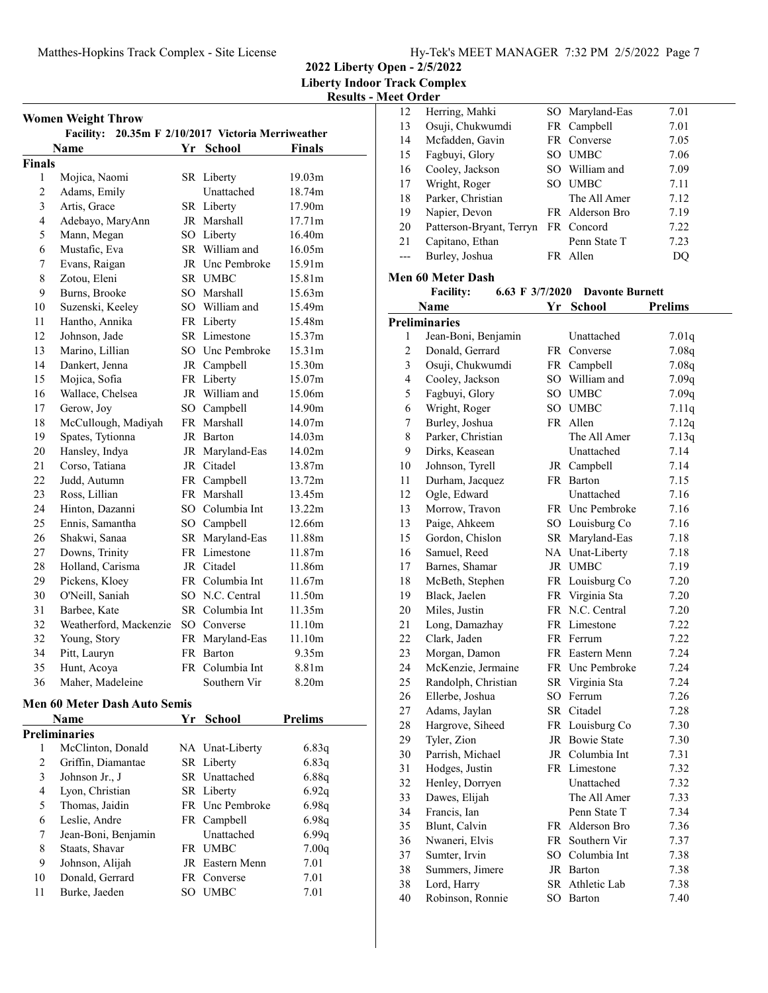**2022 Liberty Open - 2/5/2022**

**Liberty Indoor Track Complex Results - Meet Order**

| <b>Women Weight Throw</b> |                                                    |    |                 |                    |  |  |
|---------------------------|----------------------------------------------------|----|-----------------|--------------------|--|--|
|                           | Facility: 20.35m F 2/10/2017 Victoria Merriweather |    |                 |                    |  |  |
|                           | Name                                               | Yr | School          | <b>Finals</b>      |  |  |
| <b>Finals</b>             |                                                    |    |                 |                    |  |  |
| 1                         | Mojica, Naomi                                      |    | SR Liberty      | 19.03 <sub>m</sub> |  |  |
| $\overline{c}$            | Adams, Emily                                       |    | Unattached      | 18.74m             |  |  |
| $\overline{\mathbf{3}}$   | Artis, Grace                                       |    | SR Liberty      | 17.90m             |  |  |
| $\overline{4}$            | Adebayo, MaryAnn                                   |    | JR Marshall     | 17.71m             |  |  |
| 5                         | Mann, Megan                                        |    | SO Liberty      | 16.40 <sub>m</sub> |  |  |
| 6                         | Mustafic, Eva                                      |    | SR William and  | 16.05m             |  |  |
| 7                         | Evans, Raigan                                      |    | JR Unc Pembroke | 15.91m             |  |  |
| 8                         | Zotou, Eleni                                       |    | SR UMBC         | 15.81m             |  |  |
| 9                         | Burns, Brooke                                      |    | SO Marshall     | 15.63m             |  |  |
| 10                        | Suzenski, Keeley                                   |    | SO William and  | 15.49m             |  |  |
| 11                        | Hantho, Annika                                     |    | FR Liberty      | 15.48m             |  |  |
| 12                        | Johnson, Jade                                      |    | SR Limestone    | 15.37m             |  |  |
| 13                        | Marino, Lillian                                    |    | SO Unc Pembroke | 15.31m             |  |  |
| 14                        | Dankert, Jenna                                     |    | JR Campbell     | 15.30m             |  |  |
| 15                        | Mojica, Sofia                                      |    | FR Liberty      | 15.07m             |  |  |
| 16                        | Wallace, Chelsea                                   |    | JR William and  | 15.06m             |  |  |
| 17                        | Gerow, Joy                                         |    | SO Campbell     | 14.90m             |  |  |
| 18                        | McCullough, Madiyah                                |    | FR Marshall     | 14.07m             |  |  |
| 19                        | Spates, Tytionna                                   |    | JR Barton       | 14.03 <sub>m</sub> |  |  |
| 20                        | Hansley, Indya                                     |    | JR Maryland-Eas | 14.02m             |  |  |
| 21                        | Corso, Tatiana                                     |    | JR Citadel      | 13.87m             |  |  |
| 22                        | Judd, Autumn                                       |    | FR Campbell     | 13.72m             |  |  |
| 23                        | Ross, Lillian                                      |    | FR Marshall     | 13.45m             |  |  |
| 24                        | Hinton, Dazanni                                    |    | SO Columbia Int | 13.22m             |  |  |
| 25                        | Ennis, Samantha                                    |    | SO Campbell     | 12.66m             |  |  |
| 26                        | Shakwi, Sanaa                                      |    | SR Maryland-Eas | 11.88m             |  |  |
| 27                        | Downs, Trinity                                     |    | FR Limestone    | 11.87m             |  |  |
| 28                        | Holland, Carisma                                   |    | JR Citadel      | 11.86m             |  |  |
| 29                        | Pickens, Kloey                                     |    | FR Columbia Int | 11.67m             |  |  |
| 30                        | O'Neill, Saniah                                    |    | SO N.C. Central | 11.50m             |  |  |
| 31                        | Barbee, Kate                                       |    | SR Columbia Int | 11.35m             |  |  |
| 32                        | Weatherford, Mackenzie                             |    | SO Converse     | 11.10m             |  |  |
| 32                        | Young, Story                                       |    | FR Maryland-Eas | 11.10m             |  |  |
| 34                        | Pitt, Lauryn                                       |    | FR Barton       | 9.35m              |  |  |
| 35                        | Hunt, Acoya                                        |    | FR Columbia Int | 8.81m              |  |  |
| 36                        | Maher, Madeleine                                   |    | Southern Vir    | 8.20m              |  |  |
|                           |                                                    |    |                 |                    |  |  |
|                           | Men 60 Meter Dash Auto Semis                       |    |                 |                    |  |  |
|                           | <b>Name</b>                                        | Υr | School          | <b>Prelims</b>     |  |  |
|                           | Preliminaries                                      |    |                 |                    |  |  |
| 1                         | McClinton, Donald                                  |    | NA Unat-Liberty | 6.83q              |  |  |
| $\overline{c}$            | Griffin, Diamantae                                 |    | SR Liberty      | 6.83q              |  |  |
| 3                         | Johnson Jr., J                                     |    | SR Unattached   | 6.88q              |  |  |
| 4                         | Lyon, Christian                                    |    | SR Liberty      | 6.92q              |  |  |
| 5                         | Thomas, Jaidin                                     |    | FR Unc Pembroke | 6.98q              |  |  |
| 6                         | Leslie, Andre                                      |    | FR Campbell     | 6.98q              |  |  |
| 7                         | Jean-Boni, Benjamin                                |    | Unattached      | 6.99q              |  |  |
| 8                         | Staats, Shavar                                     |    | FR UMBC         | 7.00q              |  |  |
| 9                         | Johnson, Alijah                                    |    | JR Eastern Menn | 7.01               |  |  |
| 10                        | Donald, Gerrard                                    |    | FR Converse     | 7.01               |  |  |
| 11                        | Burke, Jaeden                                      |    | SO UMBC         | 7.01               |  |  |

| 12                      | Herring, Mahki                        |        |                        |                |
|-------------------------|---------------------------------------|--------|------------------------|----------------|
|                         |                                       | SO     | Maryland-Eas           | 7.01           |
| 13                      | Osuji, Chukwumdi                      |        | FR Campbell            | 7.01           |
| 14                      | Mcfadden, Gavin                       |        | FR Converse            | 7.05           |
| 15                      | Fagbuyi, Glory                        |        | SO UMBC                | 7.06           |
| 16                      | Cooley, Jackson                       |        | SO William and         | 7.09           |
| 17                      | Wright, Roger                         |        | SO UMBC                | 7.11           |
| 18                      | Parker, Christian                     |        | The All Amer           | 7.12           |
| 19                      | Napier, Devon                         |        | FR Alderson Bro        | 7.19           |
| 20                      | Patterson-Bryant, Terryn              |        | FR Concord             | 7.22           |
| 21                      | Capitano, Ethan                       |        | Penn State T           | 7.23           |
| $---$                   | Burley, Joshua                        |        | FR Allen               | DQ             |
|                         |                                       |        |                        |                |
|                         | <b>Men 60 Meter Dash</b>              |        |                        |                |
|                         | <b>Facility:</b><br>6.63 F $3/7/2020$ |        | <b>Davonte Burnett</b> |                |
|                         | Name                                  |        | Yr School              | <b>Prelims</b> |
|                         | <b>Preliminaries</b>                  |        |                        |                |
| 1                       | Jean-Boni, Benjamin                   |        | Unattached             | 7.01q          |
| 2                       | Donald, Gerrard                       |        | FR Converse            | 7.08q          |
| 3                       | Osuji, Chukwumdi                      |        | FR Campbell            | 7.08q          |
| $\overline{\mathbf{4}}$ | Cooley, Jackson                       |        | SO William and         | 7.09q          |
| 5                       | Fagbuyi, Glory                        |        | SO UMBC                | 7.09q          |
| 6                       | Wright, Roger                         |        | SO UMBC                | 7.11q          |
| 7                       | Burley, Joshua                        |        | FR Allen               | 7.12q          |
| 8                       | Parker, Christian                     |        | The All Amer           | 7.13q          |
| 9                       | Dirks, Keasean                        |        | Unattached             | 7.14           |
| 10                      | Johnson, Tyrell                       |        | JR Campbell            | 7.14           |
| 11                      | Durham, Jacquez                       |        | FR Barton              | 7.15           |
| 12                      |                                       |        | Unattached             | 7.16           |
|                         | Ogle, Edward                          |        |                        |                |
| 13                      | Morrow, Travon                        |        | FR Unc Pembroke        | 7.16           |
| 13                      | Paige, Ahkeem                         |        | SO Louisburg Co        | 7.16           |
| 15                      | Gordon, Chislon                       |        | SR Maryland-Eas        | 7.18           |
| 16                      | Samuel, Reed                          |        | NA Unat-Liberty        | 7.18           |
| 17                      | Barnes, Shamar                        |        | JR UMBC                | 7.19           |
| 18                      | McBeth, Stephen                       |        | FR Louisburg Co        | 7.20           |
| 19                      | Black, Jaelen                         |        | FR Virginia Sta        | 7.20           |
| 20                      | Miles, Justin                         |        | FR N.C. Central        | 7.20           |
| 21                      | Long, Damazhay                        |        | FR Limestone           | 7.22           |
| 22                      | Clark, Jaden                          |        | FR Ferrum              | 7.22           |
| 23                      | Morgan, Damon                         |        | FR Eastern Menn        | 7.24           |
| 24                      | McKenzie, Jermaine                    |        | FR Unc Pembroke        | 7.24           |
| 25                      | Randolph, Christian                   | SR     | Virginia Sta           | 7.24           |
| 26                      | Ellerbe, Joshua                       | SO     | Ferrum                 | 7.26           |
| 27                      | Adams, Jaylan                         |        | SR Citadel             | 7.28           |
| 28                      | Hargrove, Siheed                      |        | FR Louisburg Co        | 7.30           |
| 29                      | Tyler, Zion                           |        | JR Bowie State         | 7.30           |
| 30                      | Parrish, Michael                      |        | JR Columbia Int        | 7.31           |
| 31                      | Hodges, Justin                        |        | FR Limestone           | 7.32           |
| 32                      | Henley, Dorryen                       |        | Unattached             | 7.32           |
| 33                      | Dawes, Elijah                         |        | The All Amer           | 7.33           |
| 34                      | Francis, Ian                          |        | Penn State T           | 7.34           |
| 35                      | Blunt, Calvin                         |        | FR Alderson Bro        | 7.36           |
| 36                      | Nwaneri, Elvis                        | FR     | Southern Vir           | 7.37           |
| 37                      | Sumter, Irvin                         | $SO^-$ | Columbia Int           | 7.38           |
| 38                      | Summers, Jimere                       |        | JR Barton              | 7.38           |
| 38                      | Lord, Harry                           |        | SR Athletic Lab        | 7.38           |
| 40                      | Robinson, Ronnie                      |        | SO Barton              | 7.40           |
|                         |                                       |        |                        |                |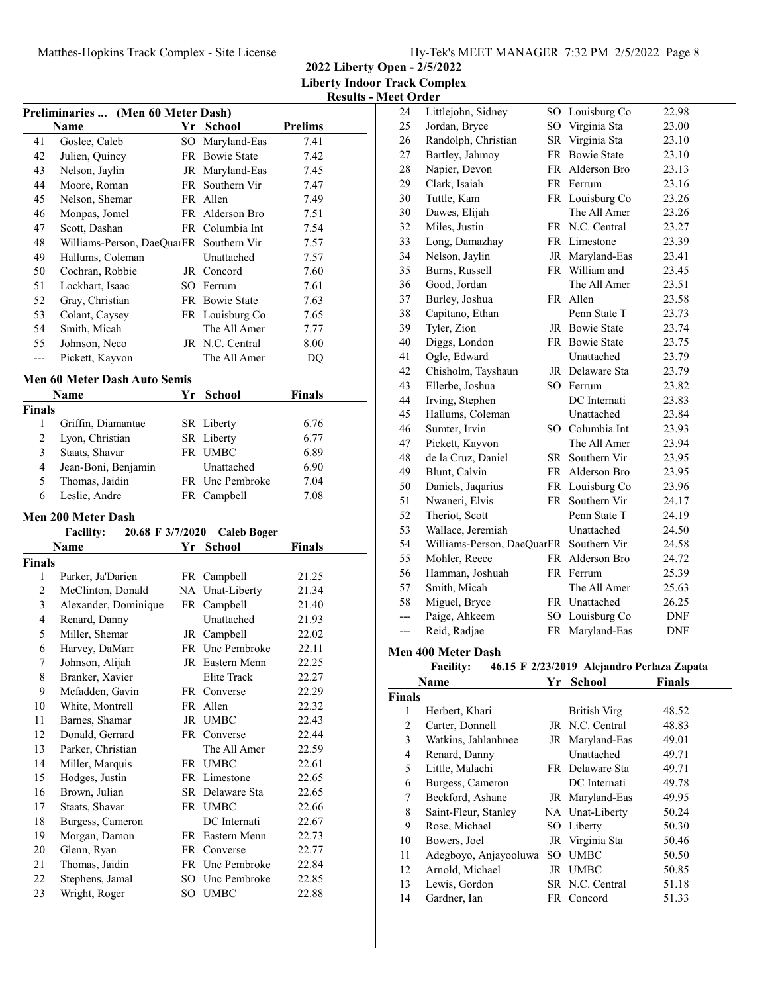|  |  |  | Hy-Tek's MEET MANAGER 7:32 PM 2/5/2022 Page 8 |  |  |  |
|--|--|--|-----------------------------------------------|--|--|--|
|--|--|--|-----------------------------------------------|--|--|--|

**2022 Liberty Open - 2/5/2022 Liberty Indoor Track Complex Results - Meet Order**

| Preliminaries  (Men 60 Meter Dash) |                                         |    |                         |                |  |
|------------------------------------|-----------------------------------------|----|-------------------------|----------------|--|
|                                    | Name                                    |    | Yr School               | <b>Prelims</b> |  |
| 41                                 | Goslee, Caleb                           | SO | Maryland-Eas            | 7.41           |  |
| 42                                 | Julien, Quincy                          | FR | <b>Bowie State</b>      | 7.42           |  |
| 43                                 | Nelson, Jaylin                          |    | JR Maryland-Eas         | 7.45           |  |
| 44                                 | Moore, Roman                            |    | FR Southern Vir         | 7.47           |  |
| 45                                 | Nelson, Shemar                          |    | FR Allen                | 7.49           |  |
| 46                                 | Monpas, Jomel                           |    | FR Alderson Bro         | 7.51           |  |
| 47                                 | Scott, Dashan                           |    | FR Columbia Int         | 7.54           |  |
| 48                                 | Williams-Person, DaeQuarFR Southern Vir |    |                         | 7.57           |  |
| 49                                 | Hallums, Coleman                        |    | Unattached              | 7.57           |  |
| 50                                 | Cochran, Robbie                         |    | JR Concord              | 7.60           |  |
| 51                                 | Lockhart, Isaac                         |    | SO Ferrum               | 7.61           |  |
| 52                                 | Gray, Christian                         |    | FR Bowie State          | 7.63           |  |
| 53                                 | Colant, Caysey                          |    | FR Louisburg Co         | 7.65           |  |
| 54                                 | Smith, Micah                            |    | The All Amer            | 7.77           |  |
| 55                                 | Johnson, Neco                           |    | JR N.C. Central         | 8.00           |  |
| $---$                              | Pickett, Kayvon                         |    | The All Amer            | DQ             |  |
|                                    |                                         |    |                         |                |  |
|                                    | <b>Men 60 Meter Dash Auto Semis</b>     |    |                         |                |  |
|                                    | Name                                    | Yr | School                  | <b>Finals</b>  |  |
| <b>Finals</b>                      |                                         |    |                         |                |  |
| $\mathbf{1}$                       | Griffin, Diamantae                      |    | SR Liberty              | 6.76           |  |
| $\overline{c}$                     | Lyon, Christian                         |    | SR Liberty              | 6.77           |  |
| 3                                  | Staats, Shavar                          |    | FR UMBC                 | 6.89           |  |
| 4                                  | Jean-Boni, Benjamin                     |    | Unattached              | 6.90           |  |
| 5                                  | Thomas, Jaidin                          |    | FR Unc Pembroke         | 7.04           |  |
| 6                                  | Leslie, Andre                           |    | FR Campbell             | 7.08           |  |
|                                    | <b>Men 200 Meter Dash</b>               |    |                         |                |  |
|                                    | <b>Facility:</b><br>20.68 F 3/7/2020    |    | <b>Caleb Boger</b>      |                |  |
|                                    | Name                                    | Yr | <b>School</b>           | Finals         |  |
| <b>Finals</b>                      |                                         |    |                         |                |  |
| 1                                  | Parker, Ja'Darien                       |    | FR Campbell             | 21.25          |  |
| 2                                  | McClinton, Donald                       |    | NA Unat-Liberty         | 21.34          |  |
| 3                                  | Alexander, Dominique                    |    | FR Campbell             |                |  |
| $\overline{4}$                     | Renard, Danny                           |    |                         | 21.40          |  |
| 5                                  | Miller, Shemar                          |    | Unattached              | 21.93          |  |
| 6                                  |                                         |    | JR Campbell             | 22.02          |  |
|                                    | Harvey, DaMarr                          |    | FR Unc Pembroke         | 22.11          |  |
| 7                                  | Johnson, Alijah                         |    | JR Eastern Menn         | 22.25          |  |
| 8                                  | Branker, Xavier                         |    | Elite Track             | 22.27          |  |
| 9                                  | Mcfadden, Gavin                         | FR | Converse                | 22.29          |  |
| 10                                 | White, Montrell                         | FR | Allen                   | 22.32          |  |
| 11                                 | Barnes, Shamar                          | JR | <b>UMBC</b>             | 22.43          |  |
| 12                                 | Donald, Gerrard                         |    | FR Converse             | 22.44          |  |
| 13                                 | Parker, Christian                       |    | The All Amer            | 22.59          |  |
| 14                                 | Miller, Marquis                         |    | FR UMBC                 | 22.61          |  |
| 15                                 | Hodges, Justin                          |    | FR Limestone            | 22.65          |  |
| 16                                 | Brown, Julian                           |    | SR Delaware Sta         | 22.65          |  |
| 17                                 | Staats, Shavar                          |    | FR UMBC                 | 22.66          |  |
| 18                                 | Burgess, Cameron                        |    | DC Internati            | 22.67          |  |
| 19                                 | Morgan, Damon                           |    | FR Eastern Menn         | 22.73          |  |
| 20                                 | Glenn, Ryan                             |    | FR Converse             | 22.77          |  |
| 21                                 | Thomas, Jaidin                          |    | FR Unc Pembroke         | 22.84          |  |
| 22<br>23                           | Stephens, Jamal<br>Wright, Roger        | SO | Unc Pembroke<br>SO UMBC | 22.85<br>22.88 |  |

| 24  | Littlejohn, Sidney                      | SO <sub>1</sub> | Louisburg Co       | 22.98      |
|-----|-----------------------------------------|-----------------|--------------------|------------|
| 25  | Jordan, Bryce                           | SO              | Virginia Sta       | 23.00      |
| 26  | Randolph, Christian                     | <b>SR</b>       | Virginia Sta       | 23.10      |
| 27  | Bartley, Jahmoy                         | FR              | <b>Bowie State</b> | 23.10      |
| 28  | Napier, Devon                           |                 | FR Alderson Bro    | 23.13      |
| 29  | Clark, Isaiah                           |                 | FR Ferrum          | 23.16      |
| 30  | Tuttle, Kam                             |                 | FR Louisburg Co    | 23.26      |
| 30  | Dawes, Elijah                           |                 | The All Amer       | 23.26      |
| 32  | Miles, Justin                           |                 | FR N.C. Central    | 23.27      |
| 33  | Long, Damazhay                          |                 | FR Limestone       | 23.39      |
| 34  | Nelson, Jaylin                          |                 | JR Maryland-Eas    | 23.41      |
| 35  | Burns, Russell                          |                 | FR William and     | 23.45      |
| 36  | Good, Jordan                            |                 | The All Amer       | 23.51      |
| 37  | Burley, Joshua                          |                 | FR Allen           | 23.58      |
| 38  | Capitano, Ethan                         |                 | Penn State T       | 23.73      |
| 39  | Tyler, Zion                             |                 | JR Bowie State     | 23.74      |
| 40  | Diggs, London                           |                 | FR Bowie State     | 23.75      |
| 41  | Ogle, Edward                            |                 | Unattached         | 23.79      |
| 42  | Chisholm, Tayshaun                      |                 | JR Delaware Sta    | 23.79      |
| 43  | Ellerbe, Joshua                         |                 | SO Ferrum          | 23.82      |
| 44  | Irving, Stephen                         |                 | DC Internati       | 23.83      |
| 45  | Hallums, Coleman                        |                 | Unattached         | 23.84      |
| 46  | Sumter, Irvin                           |                 | SO Columbia Int    | 23.93      |
| 47  | Pickett, Kayvon                         |                 | The All Amer       | 23.94      |
| 48  | de la Cruz, Daniel                      |                 | SR Southern Vir    | 23.95      |
| 49  | Blunt, Calvin                           |                 | FR Alderson Bro    | 23.95      |
| 50  | Daniels, Jaqarius                       | FR              | Louisburg Co       | 23.96      |
| 51  | Nwaneri, Elvis                          | FR              | Southern Vir       | 24.17      |
| 52  | Theriot, Scott                          |                 | Penn State T       | 24.19      |
| 53  | Wallace, Jeremiah                       |                 | Unattached         | 24.50      |
| 54  | Williams-Person, DaeQuarFR Southern Vir |                 |                    | 24.58      |
| 55  | Mohler, Reece                           |                 | FR Alderson Bro    | 24.72      |
| 56  | Hamman, Joshuah                         |                 | FR Ferrum          | 25.39      |
| 57  | Smith, Micah                            |                 | The All Amer       | 25.63      |
| 58  | Miguel, Bryce                           |                 | FR Unattached      | 26.25      |
| --- | Paige, Ahkeem                           |                 | SO Louisburg Co    | DNF        |
| --- | Reid, Radjae                            | FR              | Maryland-Eas       | <b>DNF</b> |
|     | <b>Men 400 Meter Dash</b>               |                 |                    |            |

Facility: 46.15 F 2/23/2019 Alejandro Perlaza Zapata

| Name          |                       | Yr  | <b>School</b>       | Finals |  |
|---------------|-----------------------|-----|---------------------|--------|--|
| <b>Finals</b> |                       |     |                     |        |  |
| 1             | Herbert, Khari        |     | <b>British Virg</b> | 48.52  |  |
| 2             | Carter, Donnell       |     | JR N.C. Central     | 48.83  |  |
| 3             | Watkins, Jahlanhnee   |     | JR Maryland-Eas     | 49.01  |  |
| 4             | Renard, Danny         |     | Unattached          | 49.71  |  |
| 5             | Little, Malachi       |     | FR Delaware Sta     | 49.71  |  |
| 6             | Burgess, Cameron      |     | DC Internati        | 49.78  |  |
| 7             | Beckford, Ashane      |     | JR Maryland-Eas     | 49.95  |  |
| 8             | Saint-Fleur, Stanley  |     | NA Unat-Liberty     | 50.24  |  |
| 9             | Rose, Michael         |     | SO Liberty          | 50.30  |  |
| 10            | Bowers, Joel          |     | JR Virginia Sta     | 50.46  |  |
| 11            | Adegboyo, Anjayooluwa | SO. | <b>UMBC</b>         | 50.50  |  |
| 12            | Arnold, Michael       |     | JR UMBC             | 50.85  |  |
| 13            | Lewis, Gordon         |     | SR N.C. Central     | 51.18  |  |
| 14            | Gardner, Ian          |     | FR Concord          | 51.33  |  |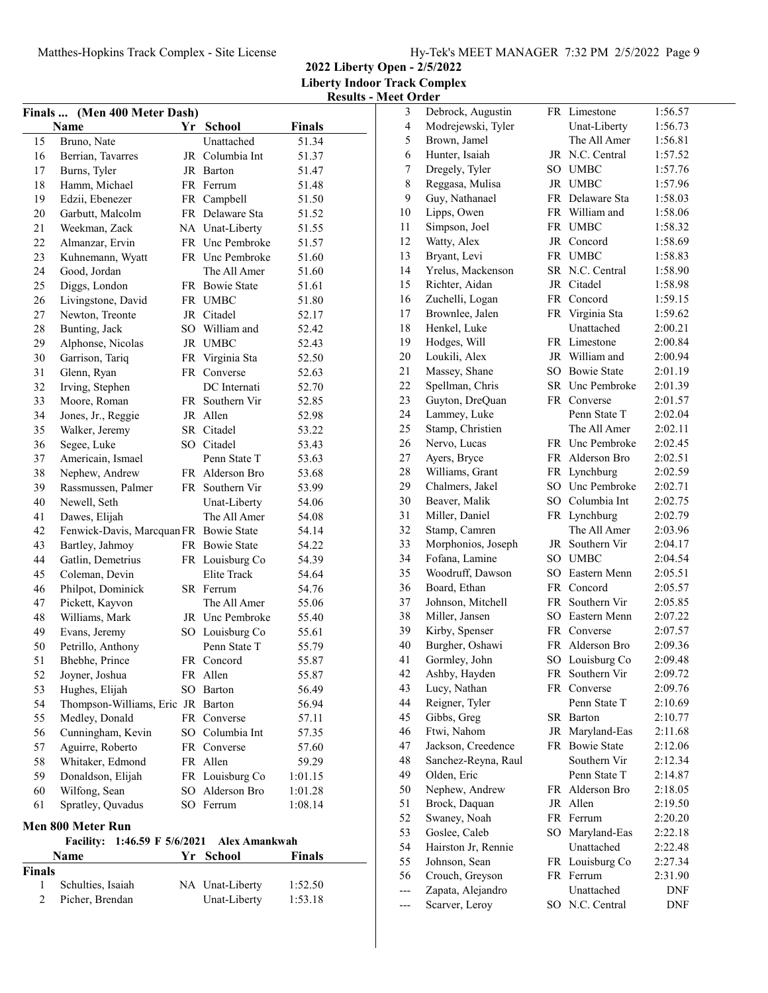**2022 Liberty Open - 2/5/2022 Liberty Indoor Track Complex Results - Meet Order**

| Finals  (Men 400 Meter Dash)                                   |                                        |     |                 |         |  |  |
|----------------------------------------------------------------|----------------------------------------|-----|-----------------|---------|--|--|
|                                                                | Name                                   |     | Yr School       | Finals  |  |  |
| 15                                                             | Bruno, Nate                            |     | Unattached      | 51.34   |  |  |
| 16                                                             | Berrian, Tavarres                      |     | JR Columbia Int | 51.37   |  |  |
| 17                                                             | Burns, Tyler                           |     | JR Barton       | 51.47   |  |  |
| 18                                                             | Hamm, Michael                          |     | FR Ferrum       | 51.48   |  |  |
| 19                                                             | Edzii, Ebenezer                        |     | FR Campbell     | 51.50   |  |  |
| 20                                                             | Garbutt, Malcolm                       |     | FR Delaware Sta | 51.52   |  |  |
| 21                                                             | Weekman, Zack                          |     | NA Unat-Liberty | 51.55   |  |  |
| 22                                                             | Almanzar, Ervin                        |     | FR Unc Pembroke | 51.57   |  |  |
| 23                                                             | Kuhnemann, Wyatt                       |     | FR Unc Pembroke | 51.60   |  |  |
| 24                                                             | Good, Jordan                           |     | The All Amer    | 51.60   |  |  |
| 25                                                             | Diggs, London                          |     | FR Bowie State  | 51.61   |  |  |
| 26                                                             | Livingstone, David                     |     | FR UMBC         | 51.80   |  |  |
| 27                                                             | Newton, Treonte                        |     | JR Citadel      | 52.17   |  |  |
| 28                                                             | Bunting, Jack                          |     | SO William and  | 52.42   |  |  |
| 29                                                             | Alphonse, Nicolas                      |     | JR UMBC         | 52.43   |  |  |
| 30                                                             | Garrison, Tariq                        |     | FR Virginia Sta | 52.50   |  |  |
| 31                                                             | Glenn, Ryan                            | FR  | Converse        | 52.63   |  |  |
| 32                                                             | Irving, Stephen                        |     | DC Internati    | 52.70   |  |  |
| 33                                                             | Moore, Roman                           |     | FR Southern Vir | 52.85   |  |  |
| 34                                                             | Jones, Jr., Reggie                     |     | JR Allen        | 52.98   |  |  |
| 35                                                             | Walker, Jeremy                         |     | SR Citadel      | 53.22   |  |  |
| 36                                                             | Segee, Luke                            |     | SO Citadel      | 53.43   |  |  |
| 37                                                             | Americain, Ismael                      |     | Penn State T    | 53.63   |  |  |
| 38                                                             | Nephew, Andrew                         |     | FR Alderson Bro | 53.68   |  |  |
| 39                                                             | Rassmussen, Palmer                     |     | FR Southern Vir | 53.99   |  |  |
| 40                                                             | Newell, Seth                           |     | Unat-Liberty    | 54.06   |  |  |
| 41                                                             | Dawes, Elijah                          |     | The All Amer    | 54.08   |  |  |
| 42                                                             | Fenwick-Davis, Marcquan FR Bowie State |     |                 | 54.14   |  |  |
| 43                                                             | Bartley, Jahmoy                        |     | FR Bowie State  | 54.22   |  |  |
| 44                                                             | Gatlin, Demetrius                      |     | FR Louisburg Co | 54.39   |  |  |
| 45                                                             | Coleman, Devin                         |     | Elite Track     | 54.64   |  |  |
| 46                                                             | Philpot, Dominick                      |     | SR Ferrum       | 54.76   |  |  |
| 47                                                             | Pickett, Kayvon                        |     | The All Amer    | 55.06   |  |  |
| 48                                                             | Williams, Mark                         |     | JR Unc Pembroke | 55.40   |  |  |
| 49                                                             | Evans, Jeremy                          |     | SO Louisburg Co | 55.61   |  |  |
| 50                                                             | Petrillo, Anthony                      |     | Penn State T    | 55.79   |  |  |
| 51                                                             | Bhebhe, Prince                         |     | FR Concord      | 55.87   |  |  |
| 52                                                             | Joyner, Joshua                         | FR  | Allen           | 55.87   |  |  |
| 53                                                             | Hughes, Elijah                         | SO  | Barton          | 56.49   |  |  |
| 54                                                             | Thompson-Williams, Eric JR Barton      |     |                 | 56.94   |  |  |
| 55                                                             | Medley, Donald                         |     | FR Converse     | 57.11   |  |  |
| 56                                                             | Cunningham, Kevin                      |     | SO Columbia Int | 57.35   |  |  |
| 57                                                             | Aguirre, Roberto                       |     | FR Converse     | 57.60   |  |  |
| 58                                                             | Whitaker, Edmond                       |     | FR Allen        | 59.29   |  |  |
| 59                                                             | Donaldson, Elijah                      |     | FR Louisburg Co | 1:01.15 |  |  |
| 60                                                             | Wilfong, Sean                          |     | SO Alderson Bro | 1:01.28 |  |  |
| 61                                                             | Spratley, Quvadus                      |     | SO Ferrum       | 1:08.14 |  |  |
|                                                                | Men 800 Meter Run                      |     |                 |         |  |  |
| 1:46.59 F 5/6/2021<br><b>Alex Amankwah</b><br><b>Facility:</b> |                                        |     |                 |         |  |  |
|                                                                | Name                                   | Yr. | <b>School</b>   | Finals  |  |  |
| <b>Finals</b>                                                  |                                        |     |                 |         |  |  |

1 Schulties, Isaiah NA Unat-Liberty 1:52.50 2 Picher, Brendan Unat-Liberty 1:53.18

| 3   | Debrock, Augustin   |    | FR Limestone    | 1:56.57 |
|-----|---------------------|----|-----------------|---------|
| 4   | Modrejewski, Tyler  |    | Unat-Liberty    | 1:56.73 |
| 5   | Brown, Jamel        |    | The All Amer    | 1:56.81 |
| 6   | Hunter, Isaiah      |    | JR N.C. Central | 1:57.52 |
| 7   | Dregely, Tyler      |    | SO UMBC         | 1:57.76 |
| 8   | Reggasa, Mulisa     |    | JR UMBC         | 1:57.96 |
| 9   | Guy, Nathanael      |    | FR Delaware Sta | 1:58.03 |
| 10  | Lipps, Owen         |    | FR William and  | 1:58.06 |
| 11  | Simpson, Joel       |    | FR UMBC         | 1:58.32 |
| 12  | Watty, Alex         |    | JR Concord      | 1:58.69 |
| 13  | Bryant, Levi        |    | FR UMBC         | 1:58.83 |
| 14  | Yrelus, Mackenson   |    | SR N.C. Central | 1:58.90 |
| 15  | Richter, Aidan      |    | JR Citadel      | 1:58.98 |
| 16  | Zuchelli, Logan     |    | FR Concord      | 1:59.15 |
| 17  | Brownlee, Jalen     |    | FR Virginia Sta | 1:59.62 |
| 18  | Henkel, Luke        |    | Unattached      | 2:00.21 |
| 19  | Hodges, Will        |    | FR Limestone    | 2:00.84 |
| 20  | Loukili, Alex       |    | JR William and  | 2:00.94 |
| 21  | Massey, Shane       |    | SO Bowie State  | 2:01.19 |
| 22  | Spellman, Chris     |    | SR Unc Pembroke | 2:01.39 |
| 23  | Guyton, DreQuan     |    | FR Converse     | 2:01.57 |
| 24  | Lammey, Luke        |    | Penn State T    | 2:02.04 |
| 25  | Stamp, Christien    |    | The All Amer    | 2:02.11 |
| 26  | Nervo, Lucas        |    | FR Unc Pembroke | 2:02.45 |
| 27  | Ayers, Bryce        |    | FR Alderson Bro | 2:02.51 |
| 28  | Williams, Grant     | FR | Lynchburg       | 2:02.59 |
| 29  | Chalmers, Jakel     |    | SO Unc Pembroke | 2:02.71 |
| 30  | Beaver, Malik       |    | SO Columbia Int | 2:02.75 |
| 31  | Miller, Daniel      |    | FR Lynchburg    | 2:02.79 |
| 32  | Stamp, Camren       |    | The All Amer    | 2:03.96 |
| 33  | Morphonios, Joseph  |    | JR Southern Vir | 2:04.17 |
| 34  | Fofana, Lamine      |    | SO UMBC         | 2:04.54 |
| 35  | Woodruff, Dawson    |    | SO Eastern Menn | 2:05.51 |
| 36  | Board, Ethan        |    | FR Concord      | 2:05.57 |
| 37  | Johnson, Mitchell   | FR | Southern Vir    | 2:05.85 |
| 38  | Miller, Jansen      |    | SO Eastern Menn | 2:07.22 |
| 39  | Kirby, Spenser      |    | FR Converse     | 2:07.57 |
| 40  | Burgher, Oshawi     |    | FR Alderson Bro | 2:09.36 |
| 41  | Gormley, John       |    | SO Louisburg Co | 2:09.48 |
| 42  | Ashby, Hayden       | FR | Southern Vir    | 2:09.72 |
| 43  | Lucy, Nathan        | FR | Converse        | 2:09.76 |
| 44  | Reigner, Tyler      |    | Penn State T    | 2:10.69 |
| 45  | Gibbs, Greg         | SR | Barton          | 2:10.77 |
| 46  | Ftwi, Nahom         |    | JR Maryland-Eas | 2:11.68 |
| 47  | Jackson, Creedence  |    | FR Bowie State  | 2:12.06 |
| 48  | Sanchez-Reyna, Raul |    | Southern Vir    | 2:12.34 |
| 49  | Olden, Eric         |    | Penn State T    | 2:14.87 |
| 50  | Nephew, Andrew      |    | FR Alderson Bro | 2:18.05 |
| 51  | Brock, Daquan       | JR | Allen           | 2:19.50 |
| 52  | Swaney, Noah        | FR | Ferrum          | 2:20.20 |
| 53  | Goslee, Caleb       | SO | Maryland-Eas    | 2:22.18 |
| 54  | Hairston Jr, Rennie |    | Unattached      | 2:22.48 |
| 55  | Johnson, Sean       |    | FR Louisburg Co | 2:27.34 |
| 56  | Crouch, Greyson     |    | FR Ferrum       | 2:31.90 |
| --- | Zapata, Alejandro   |    | Unattached      | DNF     |
| --- | Scarver, Leroy      |    | SO N.C. Central | DNF     |
|     |                     |    |                 |         |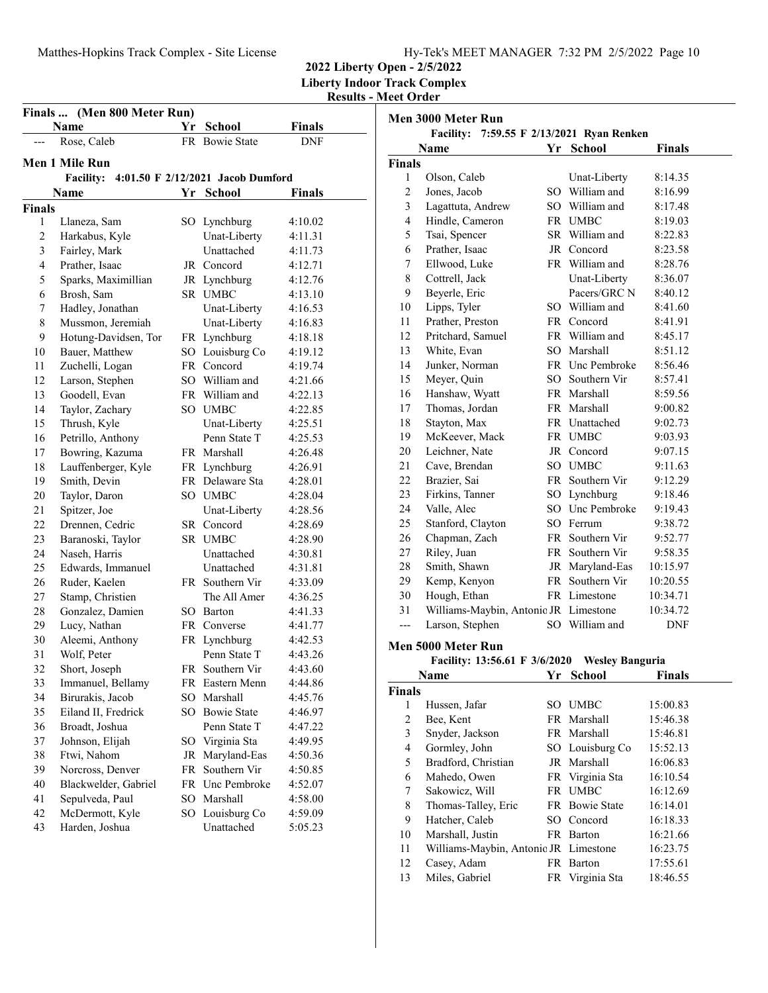# Matthes-Hopkins Track Complex - Site License Hy-Tek's MEET MANAGER 7:32 PM 2/5/2022 Page 10

**2022 Liberty Open - 2/5/2022 Liberty Indoor Track Complex**

**Results - Meet Order**

| Finals<br>(Men 800 Meter Run) |                      |    |                                   |         |  |  |
|-------------------------------|----------------------|----|-----------------------------------|---------|--|--|
|                               | <b>Name</b>          |    | Yr School                         | Finals  |  |  |
|                               | Rose, Caleb          |    | FR Bowie State                    | DNF     |  |  |
|                               | Men 1 Mile Run       |    |                                   |         |  |  |
|                               | <b>Facility:</b>     |    | 4:01.50 F 2/12/2021 Jacob Dumford |         |  |  |
|                               | Name                 | Yr | School                            | Finals  |  |  |
| <b>Finals</b>                 |                      |    |                                   |         |  |  |
| 1                             | Llaneza, Sam         |    | SO Lynchburg                      | 4:10.02 |  |  |
| $\overline{c}$                | Harkabus, Kyle       |    | Unat-Liberty                      | 4:11.31 |  |  |
| 3                             | Fairley, Mark        |    | Unattached                        | 4:11.73 |  |  |
| 4                             | Prather, Isaac       |    | JR Concord                        | 4:12.71 |  |  |
| 5                             | Sparks, Maximillian  |    | JR Lynchburg                      | 4:12.76 |  |  |
| 6                             | Brosh, Sam           |    | SR UMBC                           | 4:13.10 |  |  |
| 7                             | Hadley, Jonathan     |    | Unat-Liberty                      | 4:16.53 |  |  |
| 8                             | Mussmon, Jeremiah    |    | Unat-Liberty                      | 4:16.83 |  |  |
| 9                             | Hotung-Davidsen, Tor |    | FR Lynchburg                      | 4:18.18 |  |  |
| 10                            | Bauer, Matthew       |    | SO Louisburg Co                   | 4:19.12 |  |  |
| 11                            | Zuchelli, Logan      |    | FR Concord                        | 4:19.74 |  |  |
| 12                            | Larson, Stephen      |    | SO William and                    | 4:21.66 |  |  |
| 13                            | Goodell, Evan        |    | FR William and                    | 4:22.13 |  |  |
| 14                            | Taylor, Zachary      |    | SO UMBC                           | 4:22.85 |  |  |
| 15                            | Thrush, Kyle         |    | Unat-Liberty                      | 4:25.51 |  |  |
| 16                            | Petrillo, Anthony    |    | Penn State T                      | 4:25.53 |  |  |
| 17                            | Bowring, Kazuma      |    | FR Marshall                       | 4:26.48 |  |  |
| 18                            | Lauffenberger, Kyle  |    | FR Lynchburg                      | 4:26.91 |  |  |
| 19                            | Smith, Devin         |    | FR Delaware Sta                   | 4:28.01 |  |  |
| 20                            | Taylor, Daron        |    | SO UMBC                           | 4:28.04 |  |  |
| 21                            | Spitzer, Joe         |    | Unat-Liberty                      | 4:28.56 |  |  |
| 22                            | Drennen, Cedric      |    | SR Concord                        | 4:28.69 |  |  |
| 23                            | Baranoski, Taylor    |    | SR UMBC                           | 4:28.90 |  |  |
| 24                            | Naseh, Harris        |    | Unattached                        | 4:30.81 |  |  |
| 25                            | Edwards, Immanuel    |    | Unattached                        | 4:31.81 |  |  |
| 26                            | Ruder, Kaelen        |    | FR Southern Vir                   | 4:33.09 |  |  |
| 27                            | Stamp, Christien     |    | The All Amer                      | 4:36.25 |  |  |
| 28                            | Gonzalez, Damien     |    | SO Barton                         | 4:41.33 |  |  |
| 29                            | Lucy, Nathan         |    | FR Converse                       | 4:41.77 |  |  |
| 30                            | Aleemi, Anthony      |    | FR Lynchburg                      | 4:42.53 |  |  |
| 31                            | Wolf, Peter          |    | Penn State T                      | 4:43.26 |  |  |
| 32                            | Short, Joseph        | FR | Southern Vir                      | 4:43.60 |  |  |
| 33                            | Immanuel, Bellamy    | FR | Eastern Menn                      | 4:44.86 |  |  |
| 34                            | Birurakis, Jacob     | SO | Marshall                          | 4:45.76 |  |  |
| 35                            | Eiland II, Fredrick  | SO | <b>Bowie State</b>                | 4:46.97 |  |  |
| 36                            | Broadt, Joshua       |    | Penn State T                      | 4:47.22 |  |  |
| 37                            | Johnson, Elijah      |    | SO Virginia Sta                   | 4:49.95 |  |  |
| 38                            | Ftwi, Nahom          | JR | Maryland-Eas                      | 4:50.36 |  |  |
| 39                            | Norcross, Denver     | FR | Southern Vir                      | 4:50.85 |  |  |
| 40                            | Blackwelder, Gabriel |    | FR Unc Pembroke                   | 4:52.07 |  |  |
| 41                            | Sepulveda, Paul      | SO | Marshall                          | 4:58.00 |  |  |
| 42                            | McDermott, Kyle      | SO | Louisburg Co                      | 4:59.09 |  |  |
| 43                            | Harden, Joshua       |    | Unattached                        | 5:05.23 |  |  |
|                               |                      |    |                                   |         |  |  |

| Men 3000 Meter Run<br>Facility: 7:59.55 F 2/13/2021 Ryan Renken |                                                     |    |                        |            |  |
|-----------------------------------------------------------------|-----------------------------------------------------|----|------------------------|------------|--|
|                                                                 | Name                                                | Yr | <b>School</b>          | Finals     |  |
| <b>Finals</b>                                                   |                                                     |    |                        |            |  |
| 1                                                               | Olson, Caleb                                        |    | Unat-Liberty           | 8:14.35    |  |
| $\overline{c}$                                                  | Jones, Jacob                                        |    | SO William and         | 8:16.99    |  |
| 3                                                               | Lagattuta, Andrew                                   |    | SO William and         | 8:17.48    |  |
| 4                                                               | Hindle, Cameron                                     |    | FR UMBC                | 8:19.03    |  |
| 5                                                               | Tsai, Spencer                                       |    | SR William and         | 8:22.83    |  |
| 6                                                               | Prather, Isaac                                      |    | JR Concord             | 8:23.58    |  |
| 7                                                               | Ellwood, Luke                                       |    | FR William and         | 8:28.76    |  |
| 8                                                               | Cottrell, Jack                                      |    | Unat-Liberty           | 8:36.07    |  |
| 9                                                               | Beyerle, Eric                                       |    | Pacers/GRC N           | 8:40.12    |  |
| 10                                                              | Lipps, Tyler                                        |    | SO William and         | 8:41.60    |  |
| 11                                                              | Prather, Preston                                    |    | FR Concord             | 8:41.91    |  |
| 12                                                              | Pritchard, Samuel                                   |    | FR William and         | 8:45.17    |  |
| 13                                                              | White, Evan                                         |    | SO Marshall            | 8:51.12    |  |
| 14                                                              | Junker, Norman                                      |    | FR Unc Pembroke        | 8:56.46    |  |
| 15                                                              | Meyer, Quin                                         |    | SO Southern Vir        | 8:57.41    |  |
| 16                                                              | Hanshaw, Wyatt                                      |    | FR Marshall            | 8:59.56    |  |
| 17                                                              | Thomas, Jordan                                      |    | FR Marshall            | 9:00.82    |  |
| 18                                                              | Stayton, Max                                        |    | FR Unattached          | 9:02.73    |  |
| 19                                                              | McKeever, Mack                                      |    | FR UMBC                | 9:03.93    |  |
| 20                                                              | Leichner, Nate                                      |    | JR Concord             | 9:07.15    |  |
| 21                                                              | Cave, Brendan                                       |    | SO UMBC                | 9:11.63    |  |
| 22                                                              | Brazier, Sai                                        |    | FR Southern Vir        | 9:12.29    |  |
| 23                                                              | Firkins, Tanner                                     |    | SO Lynchburg           | 9:18.46    |  |
| 24                                                              | Valle, Alec                                         |    | SO Unc Pembroke        | 9:19.43    |  |
| 25                                                              | Stanford, Clayton                                   |    | SO Ferrum              | 9:38.72    |  |
| 26                                                              | Chapman, Zach                                       |    | FR Southern Vir        | 9:52.77    |  |
| 27                                                              | Riley, Juan                                         |    | FR Southern Vir        | 9:58.35    |  |
| 28                                                              | Smith, Shawn                                        |    | JR Maryland-Eas        | 10:15.97   |  |
| 29                                                              | Kemp, Kenyon                                        |    | FR Southern Vir        | 10:20.55   |  |
| 30                                                              | Hough, Ethan                                        |    | FR Limestone           | 10:34.71   |  |
| 31                                                              | Williams-Maybin, Antonic JR Limestone               |    |                        | 10:34.72   |  |
| $---$                                                           | Larson, Stephen                                     |    | SO William and         | <b>DNF</b> |  |
|                                                                 | Men 5000 Meter Run<br>Facility: 13:56.61 F 3/6/2020 |    | <b>Wesley Banguria</b> |            |  |
|                                                                 | Name                                                | Yr | School                 | Finals     |  |
| <b>Finals</b>                                                   |                                                     |    |                        |            |  |
| 1                                                               | Hussen, Jafar                                       |    | SO UMBC                | 15:00.83   |  |
| $\overline{c}$                                                  | Bee. Kent                                           |    | FR Marshall            | 15:46.38   |  |
| 3                                                               | Snyder, Jackson                                     |    | FR Marshall            | 15:46.81   |  |

| 4   | Gormley, John                         | SO Louisburg Co | 15:52.13 |
|-----|---------------------------------------|-----------------|----------|
| 5   | Bradford, Christian                   | JR Marshall     | 16:06.83 |
| 6   | Mahedo, Owen                          | FR Virginia Sta | 16:10.54 |
| 7   | Sakowicz, Will                        | FR UMBC         | 16:12.69 |
| 8   | Thomas-Talley, Eric                   | FR Bowie State  | 16:14.01 |
| 9   | Hatcher, Caleb                        | SO Concord      | 16:18.33 |
| 10  | Marshall, Justin                      | FR Barton       | 16:21.66 |
| -11 | Williams-Maybin, Antonic JR Limestone |                 | 16:23.75 |
| 12  | Casey, Adam                           | FR Barton       | 17:55.61 |
| 13  | Miles, Gabriel                        | FR Virginia Sta | 18:46.55 |
|     |                                       |                 |          |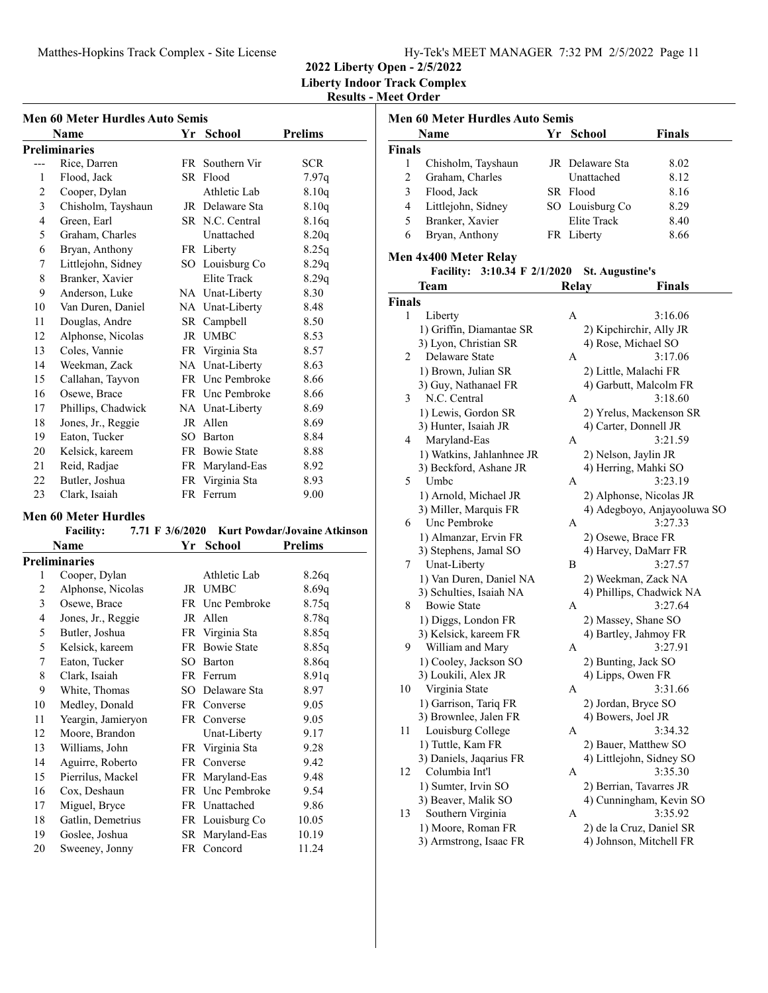**2022 Liberty Open - 2/5/2022**

**Liberty Indoor Track Complex**

**Results - Meet Order**

| Men 60 Meter Hurdles Auto Semis |     |                    |                                                                                                                                                                                                                                                                                                 |  |  |  |
|---------------------------------|-----|--------------------|-------------------------------------------------------------------------------------------------------------------------------------------------------------------------------------------------------------------------------------------------------------------------------------------------|--|--|--|
| Name                            | Yr  | <b>School</b>      | <b>Prelims</b>                                                                                                                                                                                                                                                                                  |  |  |  |
| <b>Preliminaries</b>            |     |                    |                                                                                                                                                                                                                                                                                                 |  |  |  |
| Rice, Darren                    |     | Southern Vir       | <b>SCR</b>                                                                                                                                                                                                                                                                                      |  |  |  |
| Flood, Jack                     | SR  |                    | 7.97q                                                                                                                                                                                                                                                                                           |  |  |  |
| Cooper, Dylan                   |     | Athletic Lab       | 8.10q                                                                                                                                                                                                                                                                                           |  |  |  |
| Chisholm, Tayshaun              |     |                    | 8.10q                                                                                                                                                                                                                                                                                           |  |  |  |
| Green, Earl                     |     |                    | 8.16q                                                                                                                                                                                                                                                                                           |  |  |  |
| Graham, Charles                 |     | Unattached         | 8.20q                                                                                                                                                                                                                                                                                           |  |  |  |
| Bryan, Anthony                  |     |                    | 8.25q                                                                                                                                                                                                                                                                                           |  |  |  |
| Littlejohn, Sidney              |     |                    | 8.29q                                                                                                                                                                                                                                                                                           |  |  |  |
| Branker, Xavier                 |     | <b>Elite Track</b> | 8.29q                                                                                                                                                                                                                                                                                           |  |  |  |
| Anderson, Luke                  |     |                    | 8.30                                                                                                                                                                                                                                                                                            |  |  |  |
| Van Duren, Daniel               |     |                    | 8.48                                                                                                                                                                                                                                                                                            |  |  |  |
| Douglas, Andre                  |     |                    | 8.50                                                                                                                                                                                                                                                                                            |  |  |  |
| Alphonse, Nicolas               |     |                    | 8.53                                                                                                                                                                                                                                                                                            |  |  |  |
| Coles, Vannie                   |     |                    | 8.57                                                                                                                                                                                                                                                                                            |  |  |  |
| Weekman, Zack                   |     |                    | 8.63                                                                                                                                                                                                                                                                                            |  |  |  |
| Callahan, Tayvon                |     |                    | 8.66                                                                                                                                                                                                                                                                                            |  |  |  |
| Osewe, Brace                    |     |                    | 8.66                                                                                                                                                                                                                                                                                            |  |  |  |
| Phillips, Chadwick              |     |                    | 8.69                                                                                                                                                                                                                                                                                            |  |  |  |
| Jones, Jr., Reggie              | JR  | Allen              | 8.69                                                                                                                                                                                                                                                                                            |  |  |  |
| Eaton, Tucker                   |     |                    | 8.84                                                                                                                                                                                                                                                                                            |  |  |  |
| Kelsick, kareem                 |     |                    | 8.88                                                                                                                                                                                                                                                                                            |  |  |  |
| Reid, Radjae                    | FR. | Maryland-Eas       | 8.92                                                                                                                                                                                                                                                                                            |  |  |  |
| Butler, Joshua                  | FR. | Virginia Sta       | 8.93                                                                                                                                                                                                                                                                                            |  |  |  |
| Clark, Isaiah                   |     |                    | 9.00                                                                                                                                                                                                                                                                                            |  |  |  |
|                                 |     |                    | FR -<br>Flood<br>JR Delaware Sta<br>SR N.C. Central<br>FR Liberty<br>SO Louisburg Co<br>NA Unat-Liberty<br>NA Unat-Liberty<br>SR Campbell<br>JR UMBC<br>FR Virginia Sta<br>NA Unat-Liberty<br>FR Unc Pembroke<br>FR Unc Pembroke<br>NA Unat-Liberty<br>SO Barton<br>FR Bowie State<br>FR Ferrum |  |  |  |

#### **Men 60 Meter Hurdles**

| <b>Facility:</b> |                      |     |                    | 7.71 F 3/6/2020 Kurt Powdar/Jovaine Atkinson |  |
|------------------|----------------------|-----|--------------------|----------------------------------------------|--|
|                  | Name                 |     | Yr School          | <b>Prelims</b>                               |  |
|                  | <b>Preliminaries</b> |     |                    |                                              |  |
| 1                | Cooper, Dylan        |     | Athletic Lab       | 8.26q                                        |  |
| 2                | Alphonse, Nicolas    | JR  | UMBC               | 8.69q                                        |  |
| 3                | Osewe, Brace         |     | FR Unc Pembroke    | 8.75q                                        |  |
| 4                | Jones, Jr., Reggie   | JR  | Allen              | 8.78q                                        |  |
| 5                | Butler, Joshua       |     | FR Virginia Sta    | 8.85q                                        |  |
| 5                | Kelsick, kareem      | FR  | <b>Bowie State</b> | 8.85q                                        |  |
| 7                | Eaton, Tucker        | SO. | Barton             | 8.86q                                        |  |
| 8                | Clark, Isaiah        |     | FR Ferrum          | 8.91q                                        |  |
| 9                | White, Thomas        | SO. | Delaware Sta       | 8.97                                         |  |
| 10               | Medley, Donald       |     | FR Converse        | 9.05                                         |  |
| 11               | Yeargin, Jamieryon   |     | FR Converse        | 9.05                                         |  |
| 12               | Moore, Brandon       |     | Unat-Liberty       | 9.17                                         |  |
| 13               | Williams, John       |     | FR Virginia Sta    | 9.28                                         |  |
| 14               | Aguirre, Roberto     | FR  | Converse           | 9.42                                         |  |
| 15               | Pierrilus, Mackel    |     | FR Maryland-Eas    | 9.48                                         |  |
| 16               | Cox, Deshaun         |     | FR Unc Pembroke    | 9.54                                         |  |
| 17               | Miguel, Bryce        |     | FR Unattached      | 9.86                                         |  |
| 18               | Gatlin, Demetrius    |     | FR Louisburg Co    | 10.05                                        |  |
| 19               | Goslee, Joshua       |     | SR Maryland-Eas    | 10.19                                        |  |
| 20               | Sweeney, Jonny       |     | FR Concord         | 11.24                                        |  |
|                  |                      |     |                    |                                              |  |

| <b>Men 60 Meter Hurdles Auto Semis</b> |                                              |  |                                |                             |  |  |  |
|----------------------------------------|----------------------------------------------|--|--------------------------------|-----------------------------|--|--|--|
|                                        | Yr<br><b>School</b><br><b>Finals</b><br>Name |  |                                |                             |  |  |  |
| <b>Finals</b>                          |                                              |  |                                |                             |  |  |  |
| 1                                      | Chisholm, Tayshaun                           |  | JR Delaware Sta                | 8.02                        |  |  |  |
| 2                                      | Graham, Charles                              |  | Unattached                     | 8.12                        |  |  |  |
| 3                                      | Flood, Jack                                  |  | SR Flood                       | 8.16                        |  |  |  |
| 4                                      |                                              |  |                                | 8.29                        |  |  |  |
| 5                                      | Littlejohn, Sidney                           |  | SO Louisburg Co<br>Elite Track |                             |  |  |  |
|                                        | Branker, Xavier                              |  |                                | 8.40                        |  |  |  |
| 6                                      | Bryan, Anthony                               |  | FR Liberty                     | 8.66                        |  |  |  |
|                                        | Men 4x400 Meter Relay                        |  |                                |                             |  |  |  |
|                                        | Facility: 3:10.34 F 2/1/2020                 |  | <b>St. Augustine's</b>         |                             |  |  |  |
|                                        | Team                                         |  | <b>Relay</b>                   | <b>Finals</b>               |  |  |  |
| <b>Finals</b>                          |                                              |  |                                |                             |  |  |  |
| 1                                      | Liberty                                      |  | А                              | 3:16.06                     |  |  |  |
|                                        | 1) Griffin, Diamantae SR                     |  | 2) Kipchirchir, Ally JR        |                             |  |  |  |
|                                        | 3) Lyon, Christian SR                        |  | 4) Rose, Michael SO            |                             |  |  |  |
| 2                                      | Delaware State                               |  | A                              | 3:17.06                     |  |  |  |
|                                        | 1) Brown, Julian SR                          |  | 2) Little, Malachi FR          |                             |  |  |  |
|                                        | 3) Guy, Nathanael FR                         |  | 4) Garbutt, Malcolm FR         |                             |  |  |  |
| 3                                      | N.C. Central                                 |  | A                              | 3:18.60                     |  |  |  |
|                                        | 1) Lewis, Gordon SR                          |  |                                | 2) Yrelus, Mackenson SR     |  |  |  |
|                                        | 3) Hunter, Isaiah JR                         |  | 4) Carter, Donnell JR          |                             |  |  |  |
| 4                                      | Maryland-Eas                                 |  | А                              | 3:21.59                     |  |  |  |
|                                        | 1) Watkins, Jahlanhnee JR                    |  | 2) Nelson, Jaylin JR           |                             |  |  |  |
|                                        | 3) Beckford, Ashane JR                       |  | 4) Herring, Mahki SO           |                             |  |  |  |
| 5                                      | Umbc                                         |  | A                              | 3:23.19                     |  |  |  |
|                                        | 1) Arnold, Michael JR                        |  | 2) Alphonse, Nicolas JR        |                             |  |  |  |
|                                        | 3) Miller, Marquis FR                        |  |                                | 4) Adegboyo, Anjayooluwa SO |  |  |  |
| 6                                      | Unc Pembroke                                 |  | A                              | 3:27.33                     |  |  |  |
|                                        | 1) Almanzar, Ervin FR                        |  | 2) Osewe, Brace FR             |                             |  |  |  |
|                                        | 3) Stephens, Jamal SO                        |  | 4) Harvey, DaMarr FR           |                             |  |  |  |
| 7                                      | Unat-Liberty                                 |  | B                              | 3:27.57                     |  |  |  |
|                                        | 1) Van Duren, Daniel NA                      |  | 2) Weekman, Zack NA            |                             |  |  |  |
|                                        | 3) Schulties, Isaiah NA                      |  |                                | 4) Phillips, Chadwick NA    |  |  |  |
| 8                                      | <b>Bowie State</b>                           |  | А                              | 3:27.64                     |  |  |  |
|                                        | 1) Diggs, London FR                          |  | 2) Massey, Shane SO            |                             |  |  |  |
|                                        | 3) Kelsick, kareem FR                        |  | 4) Bartley, Jahmoy FR          |                             |  |  |  |
| 9                                      |                                              |  | Α                              | 3:27.91                     |  |  |  |
|                                        | William and Mary                             |  |                                |                             |  |  |  |
|                                        | 1) Cooley, Jackson SO                        |  | 2) Bunting, Jack SO            |                             |  |  |  |
|                                        | 3) Loukili, Alex JR                          |  | 4) Lipps, Owen FR              |                             |  |  |  |
| 10                                     | Virginia State                               |  | Α                              | 3:31.66                     |  |  |  |
|                                        | 1) Garrison, Tariq FR                        |  | 2) Jordan, Bryce SO            |                             |  |  |  |
|                                        | 3) Brownlee, Jalen FR                        |  | 4) Bowers, Joel JR             |                             |  |  |  |
| 11                                     | Louisburg College                            |  | Α                              | 3:34.32                     |  |  |  |
|                                        | 1) Tuttle, Kam FR                            |  | 2) Bauer, Matthew SO           |                             |  |  |  |
|                                        | 3) Daniels, Jaqarius FR                      |  | 4) Littlejohn, Sidney SO       |                             |  |  |  |
| 12                                     | Columbia Int'l                               |  | Α                              | 3:35.30                     |  |  |  |
|                                        | 1) Sumter, Irvin SO                          |  | 2) Berrian, Tavarres JR        |                             |  |  |  |
|                                        | 3) Beaver, Malik SO                          |  |                                | 4) Cunningham, Kevin SO     |  |  |  |
| 13                                     | Southern Virginia                            |  | Α                              | 3:35.92                     |  |  |  |
|                                        | 1) Moore, Roman FR                           |  | 2) de la Cruz, Daniel SR       |                             |  |  |  |
|                                        | 3) Armstrong, Isaac FR                       |  | 4) Johnson, Mitchell FR        |                             |  |  |  |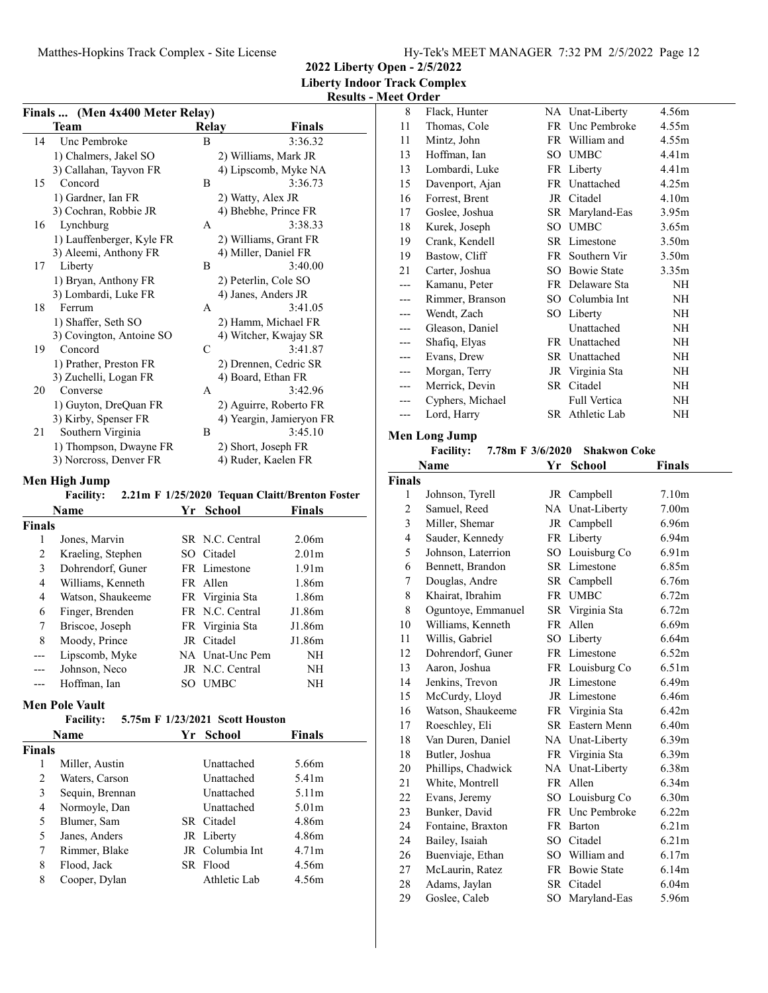Matthes-Hopkins Track Complex - Site License

**2022 Liberty Open - 2/5/2022 Liberty Indoor Track Complex**

# **Results - Meet Order**

| Finals         | (Men 4x400 Meter Relay)                             |    |                 |                                                |
|----------------|-----------------------------------------------------|----|-----------------|------------------------------------------------|
|                | <b>Team</b>                                         |    | Relay           | <b>Finals</b>                                  |
| 14             | Unc Pembroke                                        |    | B               | 3:36.32                                        |
|                | 1) Chalmers, Jakel SO                               |    |                 | 2) Williams, Mark JR                           |
|                | 3) Callahan, Tayvon FR                              |    |                 | 4) Lipscomb, Myke NA                           |
| 15             | Concord                                             |    | B               | 3:36.73                                        |
|                | 1) Gardner, Ian FR                                  |    |                 | 2) Watty, Alex JR                              |
|                | 3) Cochran, Robbie JR                               |    |                 | 4) Bhebhe, Prince FR                           |
| 16             | Lynchburg                                           |    | А               | 3:38.33                                        |
|                | 1) Lauffenberger, Kyle FR                           |    |                 | 2) Williams, Grant FR                          |
|                | 3) Aleemi, Anthony FR                               |    |                 | 4) Miller, Daniel FR                           |
| 17             | Liberty                                             |    | В               | 3:40.00                                        |
|                | 1) Bryan, Anthony FR                                |    |                 | 2) Peterlin, Cole SO                           |
|                | 3) Lombardi, Luke FR                                |    |                 | 4) Janes, Anders JR                            |
| 18             | Ferrum                                              |    | A               | 3:41.05                                        |
|                | 1) Shaffer, Seth SO                                 |    |                 | 2) Hamm, Michael FR                            |
|                | 3) Covington, Antoine SO<br>Concord                 |    |                 | 4) Witcher, Kwajay SR                          |
| 19             |                                                     |    | C               | 3:41.87                                        |
|                | 1) Prather, Preston FR<br>3) Zuchelli, Logan FR     |    |                 | 2) Drennen, Cedric SR<br>4) Board, Ethan FR    |
| 20             | Converse                                            |    | А               | 3:42.96                                        |
|                | 1) Guyton, DreQuan FR                               |    |                 | 2) Aguirre, Roberto FR                         |
|                | 3) Kirby, Spenser FR                                |    |                 | 4) Yeargin, Jamieryon FR                       |
| 21             | Southern Virginia                                   |    | B               | 3:45.10                                        |
|                | 1) Thompson, Dwayne FR                              |    |                 | 2) Short, Joseph FR                            |
|                | 3) Norcross, Denver FR                              |    |                 | 4) Ruder, Kaelen FR                            |
|                |                                                     |    |                 |                                                |
|                | Men High Jump                                       |    |                 |                                                |
|                | <b>Facility:</b>                                    |    |                 | 2.21m F 1/25/2020 Tequan Claitt/Brenton Foster |
|                | Name                                                | Yr | <b>School</b>   | <b>Finals</b>                                  |
| <b>Finals</b>  |                                                     |    |                 |                                                |
| 1              | Jones, Marvin                                       |    | SR N.C. Central | 2.06m                                          |
| 2              | Kraeling, Stephen                                   |    | SO Citadel      | 2.01 <sub>m</sub>                              |
| 3              | Dohrendorf, Guner                                   |    | FR Limestone    | 1.91 <sub>m</sub>                              |
| 4              | Williams, Kenneth                                   |    | FR Allen        | 1.86m                                          |
| 4              | Watson, Shaukeeme                                   |    | FR Virginia Sta | 1.86m                                          |
| 6              | Finger, Brenden                                     |    | FR N.C. Central | J1.86m                                         |
| 7              | Briscoe, Joseph                                     |    | FR Virginia Sta | J1.86m                                         |
| 8              | Moody, Prince                                       |    | JR Citadel      | J1.86m                                         |
| ---            | Lipscomb, Myke                                      |    |                 | NA Unat-Unc Pem<br>NH                          |
|                | Johnson, Neco                                       |    | JR N.C. Central | NΗ                                             |
|                | Hoffman, Ian                                        |    | SO UMBC         | NΗ                                             |
|                | <b>Men Pole Vault</b>                               |    |                 |                                                |
|                | 5.75m F 1/23/2021 Scott Houston<br><b>Facility:</b> |    |                 |                                                |
|                | Name                                                | Yr | School          | <b>Finals</b>                                  |
| <b>Finals</b>  |                                                     |    |                 |                                                |
| 1              | Miller, Austin                                      |    | Unattached      | 5.66m                                          |
| $\overline{c}$ | Waters, Carson                                      |    | Unattached      | 5.41m                                          |
| 3              | Sequin, Brennan                                     |    | Unattached      | 5.11 <sub>m</sub>                              |
| 4              | Normoyle, Dan                                       |    | Unattached      | 5.01m                                          |
| 5              | Blumer, Sam                                         |    | SR Citadel      | 4.86m                                          |
| 5              | Janes, Anders                                       |    | JR Liberty      | 4.86m                                          |
| 7              | Rimmer, Blake                                       |    |                 | JR Columbia Int<br>4.71 <sub>m</sub>           |
| 8              | Flood, Jack                                         |    | SR Flood        | 4.56m                                          |
| 8              | Cooper, Dylan                                       |    |                 | Athletic Lab<br>4.56m                          |
|                |                                                     |    |                 |                                                |

| 8     | Flack, Hunter    |      | NA Unat-Liberty | 4.56m             |
|-------|------------------|------|-----------------|-------------------|
| 11    | Thomas, Cole     | FR.  | Unc Pembroke    | 4.55m             |
| 11    | Mintz, John      |      | FR William and  | 4.55m             |
| 13    | Hoffman, Ian     |      | SO UMBC         | 4.41 <sub>m</sub> |
| 13    | Lombardi, Luke   |      | FR Liberty      | 4.41 <sub>m</sub> |
| 15    | Davenport, Ajan  |      | FR Unattached   | 4.25m             |
| 16    | Forrest, Brent   | JR   | Citadel         | 4.10 <sub>m</sub> |
| 17    | Goslee, Joshua   | SR   | Maryland-Eas    | 3.95m             |
| 18    | Kurek, Joseph    | SO.  | <b>UMBC</b>     | 3.65m             |
| 19    | Crank, Kendell   |      | SR Limestone    | 3.50 <sub>m</sub> |
| 19    | Bastow, Cliff    | FR - | Southern Vir    | 3.50 <sub>m</sub> |
| 21    | Carter, Joshua   |      | SO Bowie State  | 3.35 <sub>m</sub> |
| $---$ | Kamanu, Peter    |      | FR Delaware Sta | NΗ                |
| ---   | Rimmer, Branson  | SO.  | Columbia Int    | NH                |
|       | Wendt, Zach      |      | SO Liberty      | NH                |
| ---   | Gleason, Daniel  |      | Unattached      | NH                |
| ---   | Shafiq, Elyas    | FR.  | Unattached      | NH                |
|       | Evans, Drew      |      | SR Unattached   | NH                |
| ---   | Morgan, Terry    |      | JR Virginia Sta | NH                |
| $---$ | Merrick, Devin   | SR   | Citadel         | NH                |
|       | Cyphers, Michael |      | Full Vertica    | NH                |
| ---   | Lord, Harry      | SR.  | Athletic Lab    | NH                |
|       |                  |      |                 |                   |

#### **Men Long Jump**

#### **Facility:** 7.78m F 3/6/2020 Shakwon Coke

| Name           |                    | Yr | School          | Finals            |  |  |  |
|----------------|--------------------|----|-----------------|-------------------|--|--|--|
| <b>Finals</b>  |                    |    |                 |                   |  |  |  |
| $\mathbf{1}$   | Johnson, Tyrell    |    | JR Campbell     | 7.10 <sub>m</sub> |  |  |  |
| $\overline{2}$ | Samuel, Reed       |    | NA Unat-Liberty | 7.00 <sub>m</sub> |  |  |  |
| 3              | Miller, Shemar     |    | JR Campbell     | 6.96m             |  |  |  |
| $\overline{4}$ | Sauder, Kennedy    |    | FR Liberty      | 6.94m             |  |  |  |
| 5              | Johnson, Laterrion |    | SO Louisburg Co | 6.91 <sub>m</sub> |  |  |  |
| 6              | Bennett, Brandon   |    | SR Limestone    | 6.85m             |  |  |  |
| 7              | Douglas, Andre     |    | SR Campbell     | 6.76m             |  |  |  |
| 8              | Khairat, Ibrahim   |    | FR UMBC         | 6.72 <sub>m</sub> |  |  |  |
| 8              | Oguntoye, Emmanuel |    | SR Virginia Sta | 6.72 <sub>m</sub> |  |  |  |
| 10             | Williams, Kenneth  |    | FR Allen        | 6.69m             |  |  |  |
| 11             | Willis, Gabriel    |    | SO Liberty      | 6.64m             |  |  |  |
| 12             | Dohrendorf, Guner  |    | FR Limestone    | 6.52m             |  |  |  |
| 13             | Aaron, Joshua      |    | FR Louisburg Co | 6.51m             |  |  |  |
| 14             | Jenkins, Trevon    |    | JR Limestone    | 6.49m             |  |  |  |
| 15             | McCurdy, Lloyd     |    | JR Limestone    | 6.46m             |  |  |  |
| 16             | Watson, Shaukeeme  |    | FR Virginia Sta | 6.42m             |  |  |  |
| 17             | Roeschley, Eli     |    | SR Eastern Menn | 6.40 <sub>m</sub> |  |  |  |
| 18             | Van Duren, Daniel  |    | NA Unat-Liberty | 6.39 <sub>m</sub> |  |  |  |
| 18             | Butler, Joshua     |    | FR Virginia Sta | 6.39 <sub>m</sub> |  |  |  |
| 20             | Phillips, Chadwick |    | NA Unat-Liberty | 6.38m             |  |  |  |
| 21             | White, Montrell    |    | FR Allen        | 6.34 <sub>m</sub> |  |  |  |
| 22             | Evans, Jeremy      |    | SO Louisburg Co | 6.30 <sub>m</sub> |  |  |  |
| 23             | Bunker, David      |    | FR Unc Pembroke | 6.22m             |  |  |  |
| 24             | Fontaine, Braxton  |    | FR Barton       | 6.21 <sub>m</sub> |  |  |  |
| 24             | Bailey, Isaiah     |    | SO Citadel      | 6.21 <sub>m</sub> |  |  |  |
| 26             | Buenviaje, Ethan   |    | SO William and  | 6.17m             |  |  |  |
| 27             | McLaurin, Ratez    |    | FR Bowie State  | 6.14m             |  |  |  |
| 28             | Adams, Jaylan      |    | SR Citadel      | 6.04 <sub>m</sub> |  |  |  |
| 29             | Goslee, Caleb      |    | SO Maryland-Eas | 5.96m             |  |  |  |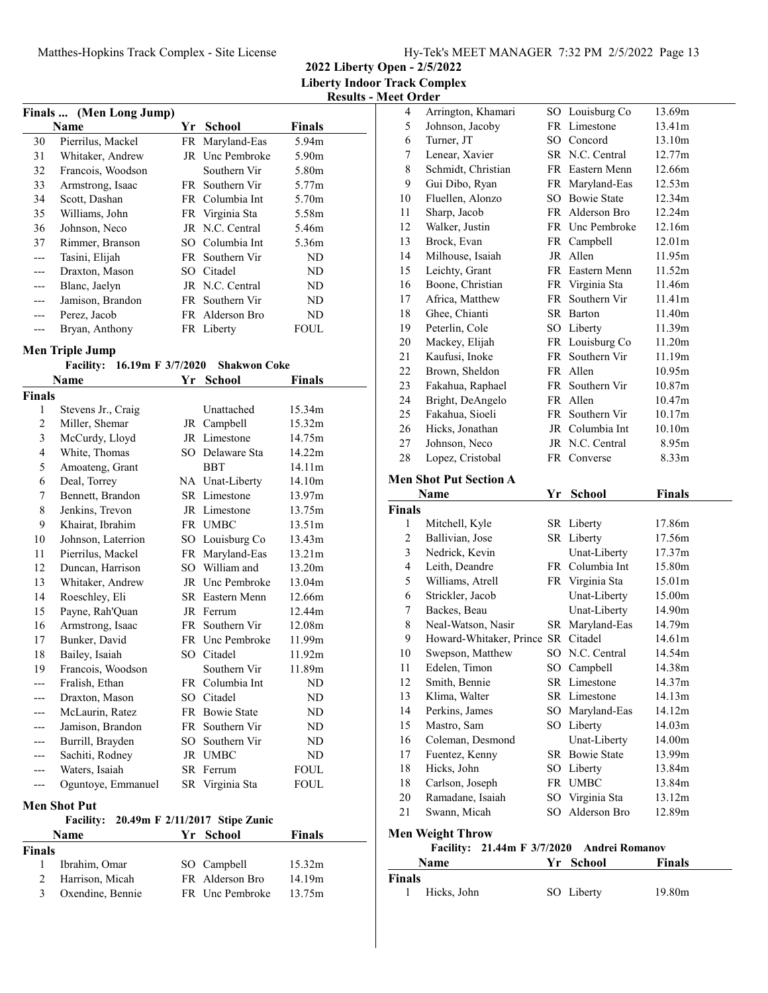**2022 Liberty Open - 2/5/2022 Liberty Indoor Track Complex**

**Results - Meet Order**

| Finals  (Men Long Jump) |                   |    |                 |        |  |
|-------------------------|-------------------|----|-----------------|--------|--|
|                         | Name              | Yr | School          | Finals |  |
| 30                      | Pierrilus, Mackel |    | FR Maryland-Eas | 5.94m  |  |
| 31                      | Whitaker, Andrew  |    | JR Unc Pembroke | 5.90m  |  |
| 32                      | Francois, Woodson |    | Southern Vir    | 5.80m  |  |
| 33                      | Armstrong, Isaac  |    | FR Southern Vir | 5.77m  |  |
| 34                      | Scott, Dashan     |    | FR Columbia Int | 5.70m  |  |
| 35                      | Williams, John    |    | FR Virginia Sta | 5.58m  |  |
| 36                      | Johnson, Neco     |    | JR N.C. Central | 5.46m  |  |
| 37                      | Rimmer, Branson   |    | SO Columbia Int | 5.36m  |  |
| ---                     | Tasini, Elijah    |    | FR Southern Vir | ND     |  |
| ---                     | Draxton, Mason    |    | SO Citadel      | ND     |  |
|                         | Blanc, Jaelyn     |    | JR N.C. Central | ND     |  |
| ---                     | Jamison, Brandon  |    | FR Southern Vir | ND     |  |
| ---                     | Perez, Jacob      |    | FR Alderson Bro | ND     |  |
|                         | Bryan, Anthony    |    | FR Liberty      | FOUL   |  |

### **Men Triple Jump**

|  | Facility: 16.19m F 3/7/2020 Shakwon Coke |
|--|------------------------------------------|
|  |                                          |

| Name           |                     | Yr   | <b>School</b>                  | <b>Finals</b> |  |  |  |
|----------------|---------------------|------|--------------------------------|---------------|--|--|--|
| <b>Finals</b>  |                     |      |                                |               |  |  |  |
| 1              | Stevens Jr., Craig  |      | Unattached                     | 15.34m        |  |  |  |
| $\overline{c}$ | Miller, Shemar      | JR   | Campbell                       | 15.32m        |  |  |  |
| 3              | McCurdy, Lloyd      |      | JR Limestone                   | 14.75m        |  |  |  |
| 4              | White, Thomas       |      | SO Delaware Sta                | 14.22m        |  |  |  |
| 5              | Amoateng, Grant     |      | <b>BBT</b>                     | 14.11m        |  |  |  |
| 6              | Deal, Torrey        |      | NA Unat-Liberty                | 14.10m        |  |  |  |
| 7              | Bennett, Brandon    |      | SR Limestone                   | 13.97m        |  |  |  |
| 8              | Jenkins, Trevon     |      | JR Limestone                   | 13.75m        |  |  |  |
| 9              | Khairat, Ibrahim    |      | FR UMBC                        | 13.51m        |  |  |  |
| 10             | Johnson, Laterrion  |      | SO Louisburg Co                | 13.43m        |  |  |  |
| 11             | Pierrilus, Mackel   | FR.  | Maryland-Eas                   | 13.21m        |  |  |  |
| 12             | Duncan, Harrison    | SO   | William and                    | 13.20m        |  |  |  |
| 13             | Whitaker, Andrew    |      | JR Unc Pembroke                | 13.04m        |  |  |  |
| 14             | Roeschley, Eli      |      | SR Eastern Menn                | 12.66m        |  |  |  |
| 15             | Payne, Rah'Quan     |      | JR Ferrum                      | 12.44m        |  |  |  |
| 16             | Armstrong, Isaac    |      | FR Southern Vir                | 12.08m        |  |  |  |
| 17             | Bunker, David       |      | FR Unc Pembroke                | 11.99m        |  |  |  |
| 18             | Bailey, Isaiah      | SO.  | Citadel                        | 11.92m        |  |  |  |
| 19             | Francois, Woodson   |      | Southern Vir                   | 11.89m        |  |  |  |
| ---            | Fralish, Ethan      |      | FR Columbia Int                | ND            |  |  |  |
| ---            | Draxton, Mason      |      | SO Citadel                     | <b>ND</b>     |  |  |  |
|                | McLaurin, Ratez     |      | FR Bowie State                 | ND            |  |  |  |
|                | Jamison, Brandon    | FR - | Southern Vir                   | ND            |  |  |  |
| ---            | Burrill, Brayden    | SО   | Southern Vir                   | ND            |  |  |  |
|                | Sachiti, Rodney     |      | JR UMBC                        | ND            |  |  |  |
|                | Waters, Isaiah      |      | SR Ferrum                      | <b>FOUL</b>   |  |  |  |
| ---            | Oguntoye, Emmanuel  |      | SR Virginia Sta                | <b>FOUL</b>   |  |  |  |
|                | <b>Men Shot Put</b> |      |                                |               |  |  |  |
|                | <b>Facility:</b>    |      | 20.49m F 2/11/2017 Stipe Zunic |               |  |  |  |
|                | Name                | Yr   | <b>School</b>                  | <b>Finals</b> |  |  |  |
| <b>Finals</b>  |                     |      |                                |               |  |  |  |
| 1              | Ibrahim, Omar       | SO   | Campbell                       | 15.32m        |  |  |  |

2 Harrison, Micah FR Alderson Bro 14.19m 3 Oxendine, Bennie FR Unc Pembroke 13.75m

| 4                  | Arrington, Khamari                    | SO  | Louisburg Co          | 13.69m        |
|--------------------|---------------------------------------|-----|-----------------------|---------------|
| 5                  | Johnson, Jacoby                       | FR  | Limestone             | 13.41m        |
| 6                  | Turner, JT                            |     | SO Concord            | 13.10m        |
| 7                  | Lenear, Xavier                        |     | SR N.C. Central       | 12.77m        |
| 8                  | Schmidt, Christian                    |     | FR Eastern Menn       | 12.66m        |
| 9                  | Gui Dibo, Ryan                        |     | FR Maryland-Eas       | 12.53m        |
| 10                 | Fluellen, Alonzo                      |     | SO Bowie State        | 12.34m        |
| 11                 | Sharp, Jacob                          |     | FR Alderson Bro       | 12.24m        |
| 12                 | Walker, Justin                        |     | FR Unc Pembroke       | 12.16m        |
| 13                 | Brock, Evan                           |     | FR Campbell           | 12.01m        |
| 14                 | Milhouse, Isaiah                      |     | JR Allen              | 11.95m        |
| 15                 | Leichty, Grant                        |     | FR Eastern Menn       | 11.52m        |
| 16                 | Boone, Christian                      |     | FR Virginia Sta       | 11.46m        |
| 17                 | Africa, Matthew                       |     | FR Southern Vir       | 11.41m        |
| 18                 | Ghee, Chianti                         |     | SR Barton             | 11.40m        |
| 19                 | Peterlin, Cole                        |     | SO Liberty            | 11.39m        |
| 20                 | Mackey, Elijah                        |     | FR Louisburg Co       | 11.20m        |
| 21                 | Kaufusi, Inoke                        |     | FR Southern Vir       | 11.19m        |
| 22                 | Brown, Sheldon                        |     | FR Allen              | 10.95m        |
| 23                 | Fakahua, Raphael                      |     | FR Southern Vir       | 10.87m        |
| 24                 | Bright, DeAngelo                      |     | FR Allen              | 10.47m        |
| 25                 | Fakahua, Sioeli                       |     | FR Southern Vir       | 10.17m        |
| 26                 | Hicks, Jonathan                       |     | JR Columbia Int       | 10.10m        |
| 27                 | Johnson, Neco                         |     | JR N.C. Central       | 8.95m         |
| 28                 | Lopez, Cristobal                      |     | FR Converse           | 8.33m         |
|                    |                                       |     |                       |               |
|                    | <b>Men Shot Put Section A</b>         |     |                       |               |
|                    | Name                                  | Yr  | <b>School</b>         | <b>Finals</b> |
|                    |                                       |     |                       |               |
| <b>Finals</b>      |                                       |     |                       |               |
| 1                  | Mitchell, Kyle                        |     | SR Liberty            | 17.86m        |
| $\overline{c}$     | Ballivian, Jose                       |     | SR Liberty            | 17.56m        |
| 3                  | Nedrick, Kevin                        |     | Unat-Liberty          | 17.37m        |
| 4                  | Leith, Deandre                        |     | FR Columbia Int       | 15.80m        |
| 5                  | Williams, Atrell                      |     | FR Virginia Sta       | 15.01m        |
| 6                  | Strickler, Jacob                      |     | Unat-Liberty          | 15.00m        |
| 7                  | Backes, Beau                          |     | Unat-Liberty          | 14.90m        |
| 8                  | Neal-Watson, Nasir                    | SR  | Maryland-Eas          | 14.79m        |
| 9                  | Howard-Whitaker, Prince SR            |     | Citadel               | 14.61m        |
| 10                 | Swepson, Matthew                      | SO  | N.C. Central          | 14.54m        |
| 11                 | Edelen, Timon                         |     | SO Campbell           | 14.38m        |
| 12                 | Smith, Bennie                         |     | SR Limestone          | 14.37m        |
| 13                 | Klima, Walter                         |     | SR Limestone          | 14.13m        |
| 14                 | Perkins, James                        |     | SO Maryland-Eas       | 14.12m        |
| 15                 | Mastro, Sam                           |     | SO Liberty            | 14.03m        |
| 16                 | Coleman, Desmond                      |     | Unat-Liberty          | 14.00m        |
| 17                 | Fuentez, Kenny                        |     | SR Bowie State        | 13.99m        |
| 18                 | Hicks, John                           |     | SO Liberty            | 13.84m        |
| 18                 | Carlson, Joseph                       |     | FR UMBC               | 13.84m        |
| 20                 | Ramadane, Isaiah                      | SO  | Virginia Sta          | 13.12m        |
| 21                 | Swann, Micah                          | SO. | Alderson Bro          | 12.89m        |
|                    |                                       |     |                       |               |
|                    | <b>Men Weight Throw</b>               |     |                       |               |
|                    | <b>Facility:</b><br>21.44m F 3/7/2020 |     | <b>Andrei Romanov</b> |               |
|                    | Name                                  | Yr. | <b>School</b>         | <b>Finals</b> |
| <b>Finals</b><br>1 | Hicks, John                           |     | SO Liberty            | 19.80m        |